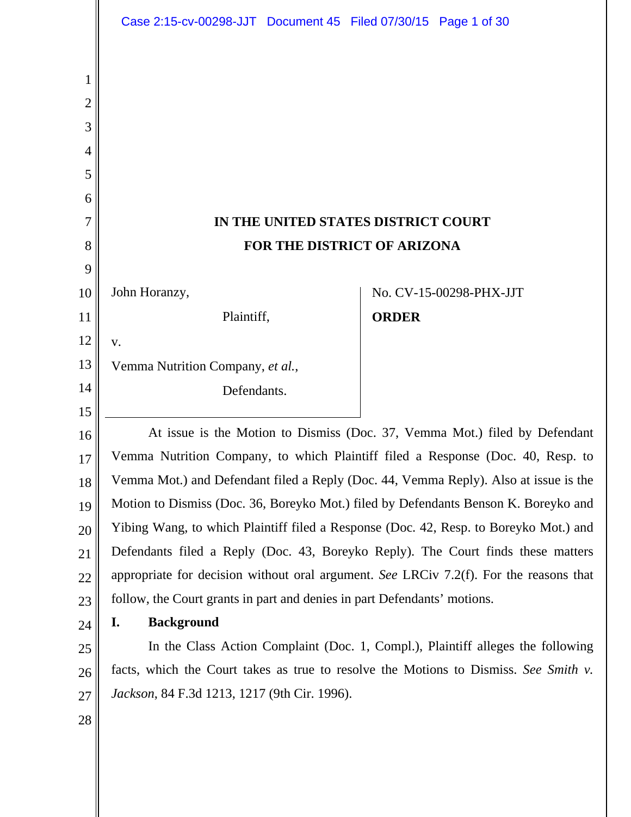|                          | Case 2:15-cv-00298-JJT Document 45 Filed 07/30/15 Page 1 of 30                                                                                                              |              |                         |
|--------------------------|-----------------------------------------------------------------------------------------------------------------------------------------------------------------------------|--------------|-------------------------|
| 1<br>$\overline{2}$<br>3 |                                                                                                                                                                             |              |                         |
| $\overline{4}$           |                                                                                                                                                                             |              |                         |
| 5<br>6                   |                                                                                                                                                                             |              |                         |
| 7                        | IN THE UNITED STATES DISTRICT COURT                                                                                                                                         |              |                         |
| 8                        | FOR THE DISTRICT OF ARIZONA                                                                                                                                                 |              |                         |
| 9                        |                                                                                                                                                                             |              |                         |
| 10                       | John Horanzy,                                                                                                                                                               |              | No. CV-15-00298-PHX-JJT |
| 11                       | Plaintiff,                                                                                                                                                                  | <b>ORDER</b> |                         |
| 12                       | V.                                                                                                                                                                          |              |                         |
| 13                       | Vemma Nutrition Company, et al.,                                                                                                                                            |              |                         |
| 14                       | Defendants.                                                                                                                                                                 |              |                         |
| 15                       |                                                                                                                                                                             |              |                         |
| 16                       | At issue is the Motion to Dismiss (Doc. 37, Vemma Mot.) filed by Defendant                                                                                                  |              |                         |
| 17                       | Vemma Nutrition Company, to which Plaintiff filed a Response (Doc. 40, Resp. to                                                                                             |              |                         |
| 18                       | Vemma Mot.) and Defendant filed a Reply (Doc. 44, Vemma Reply). Also at issue is the<br>Motion to Dismiss (Doc. 36, Boreyko Mot.) filed by Defendants Benson K. Boreyko and |              |                         |
| 19                       | Yibing Wang, to which Plaintiff filed a Response (Doc. 42, Resp. to Boreyko Mot.) and                                                                                       |              |                         |
| 20<br>21                 | Defendants filed a Reply (Doc. 43, Boreyko Reply). The Court finds these matters                                                                                            |              |                         |
| 22                       | appropriate for decision without oral argument. See LRCiv 7.2(f). For the reasons that                                                                                      |              |                         |
| 23                       | follow, the Court grants in part and denies in part Defendants' motions.                                                                                                    |              |                         |
| 24                       | <b>Background</b><br>I.                                                                                                                                                     |              |                         |
| 25                       | In the Class Action Complaint (Doc. 1, Compl.), Plaintiff alleges the following                                                                                             |              |                         |
| 26                       | facts, which the Court takes as true to resolve the Motions to Dismiss. See Smith v.                                                                                        |              |                         |
| 27                       | <i>Jackson</i> , 84 F.3d 1213, 1217 (9th Cir. 1996).                                                                                                                        |              |                         |
| 28                       |                                                                                                                                                                             |              |                         |
|                          |                                                                                                                                                                             |              |                         |
|                          |                                                                                                                                                                             |              |                         |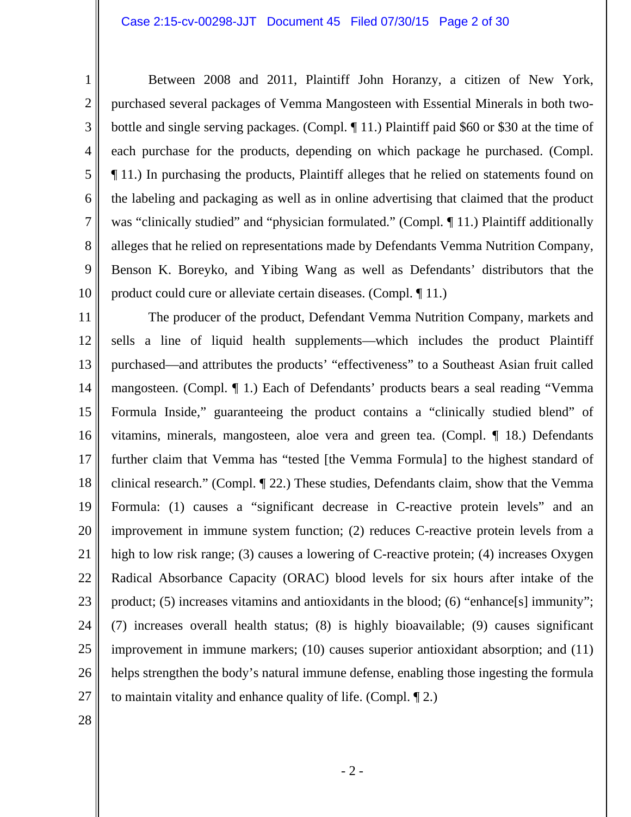Between 2008 and 2011, Plaintiff John Horanzy, a citizen of New York, purchased several packages of Vemma Mangosteen with Essential Minerals in both twobottle and single serving packages. (Compl. ¶ 11.) Plaintiff paid \$60 or \$30 at the time of each purchase for the products, depending on which package he purchased. (Compl. ¶ 11.) In purchasing the products, Plaintiff alleges that he relied on statements found on the labeling and packaging as well as in online advertising that claimed that the product was "clinically studied" and "physician formulated." (Compl. 11.) Plaintiff additionally alleges that he relied on representations made by Defendants Vemma Nutrition Company, Benson K. Boreyko, and Yibing Wang as well as Defendants' distributors that the product could cure or alleviate certain diseases. (Compl. ¶ 11.)

11 12 13 14 15 16 17 18 19 20 21 22 23 24 25 26 27 The producer of the product, Defendant Vemma Nutrition Company, markets and sells a line of liquid health supplements—which includes the product Plaintiff purchased—and attributes the products' "effectiveness" to a Southeast Asian fruit called mangosteen. (Compl. ¶ 1.) Each of Defendants' products bears a seal reading "Vemma Formula Inside," guaranteeing the product contains a "clinically studied blend" of vitamins, minerals, mangosteen, aloe vera and green tea. (Compl. ¶ 18.) Defendants further claim that Vemma has "tested [the Vemma Formula] to the highest standard of clinical research." (Compl. ¶ 22.) These studies, Defendants claim, show that the Vemma Formula: (1) causes a "significant decrease in C-reactive protein levels" and an improvement in immune system function; (2) reduces C-reactive protein levels from a high to low risk range; (3) causes a lowering of C-reactive protein; (4) increases Oxygen Radical Absorbance Capacity (ORAC) blood levels for six hours after intake of the product; (5) increases vitamins and antioxidants in the blood; (6) "enhance[s] immunity"; (7) increases overall health status; (8) is highly bioavailable; (9) causes significant improvement in immune markers; (10) causes superior antioxidant absorption; and (11) helps strengthen the body's natural immune defense, enabling those ingesting the formula to maintain vitality and enhance quality of life. (Compl. ¶ 2.)

28

1

2

3

4

5

6

7

8

9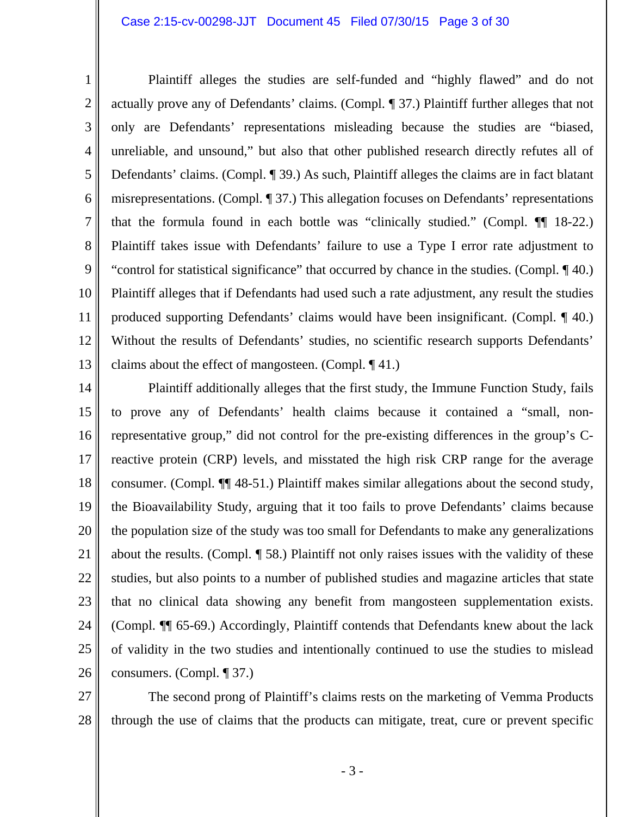1 2 3 4 5 6 7 8 9 10 11 12 13 Plaintiff alleges the studies are self-funded and "highly flawed" and do not actually prove any of Defendants' claims. (Compl. ¶ 37.) Plaintiff further alleges that not only are Defendants' representations misleading because the studies are "biased, unreliable, and unsound," but also that other published research directly refutes all of Defendants' claims. (Compl. ¶ 39.) As such, Plaintiff alleges the claims are in fact blatant misrepresentations. (Compl. ¶ 37.) This allegation focuses on Defendants' representations that the formula found in each bottle was "clinically studied." (Compl. ¶¶ 18-22.) Plaintiff takes issue with Defendants' failure to use a Type I error rate adjustment to "control for statistical significance" that occurred by chance in the studies. (Compl. ¶ 40.) Plaintiff alleges that if Defendants had used such a rate adjustment, any result the studies produced supporting Defendants' claims would have been insignificant. (Compl. ¶ 40.) Without the results of Defendants' studies, no scientific research supports Defendants' claims about the effect of mangosteen. (Compl. ¶ 41.)

14 15 16 17 18 19 20 21 22 23 24 25 26 Plaintiff additionally alleges that the first study, the Immune Function Study, fails to prove any of Defendants' health claims because it contained a "small, nonrepresentative group," did not control for the pre-existing differences in the group's Creactive protein (CRP) levels, and misstated the high risk CRP range for the average consumer. (Compl. ¶¶ 48-51.) Plaintiff makes similar allegations about the second study, the Bioavailability Study, arguing that it too fails to prove Defendants' claims because the population size of the study was too small for Defendants to make any generalizations about the results. (Compl. ¶ 58.) Plaintiff not only raises issues with the validity of these studies, but also points to a number of published studies and magazine articles that state that no clinical data showing any benefit from mangosteen supplementation exists. (Compl. ¶¶ 65-69.) Accordingly, Plaintiff contends that Defendants knew about the lack of validity in the two studies and intentionally continued to use the studies to mislead consumers. (Compl. ¶ 37.)

27 28 The second prong of Plaintiff's claims rests on the marketing of Vemma Products through the use of claims that the products can mitigate, treat, cure or prevent specific

- 3 -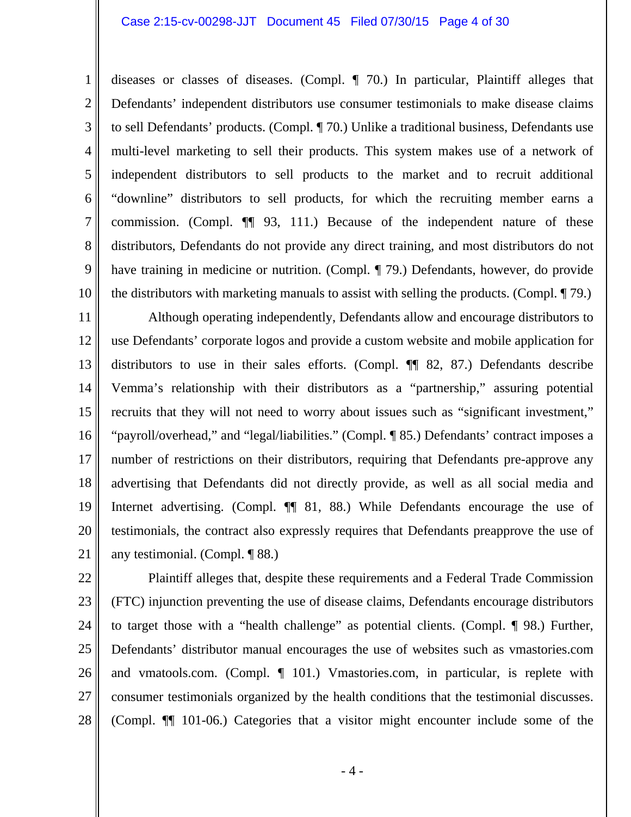#### Case 2:15-cv-00298-JJT Document 45 Filed 07/30/15 Page 4 of 30

1

2

3

4

5

6

7

8

9

10

diseases or classes of diseases. (Compl. ¶ 70.) In particular, Plaintiff alleges that Defendants' independent distributors use consumer testimonials to make disease claims to sell Defendants' products. (Compl. ¶ 70.) Unlike a traditional business, Defendants use multi-level marketing to sell their products. This system makes use of a network of independent distributors to sell products to the market and to recruit additional "downline" distributors to sell products, for which the recruiting member earns a commission. (Compl. ¶¶ 93, 111.) Because of the independent nature of these distributors, Defendants do not provide any direct training, and most distributors do not have training in medicine or nutrition. (Compl. ¶ 79.) Defendants, however, do provide the distributors with marketing manuals to assist with selling the products. (Compl. ¶ 79.)

11 12 13 14 15 16 17 18 19 20 21 Although operating independently, Defendants allow and encourage distributors to use Defendants' corporate logos and provide a custom website and mobile application for distributors to use in their sales efforts. (Compl. ¶¶ 82, 87.) Defendants describe Vemma's relationship with their distributors as a "partnership," assuring potential recruits that they will not need to worry about issues such as "significant investment," "payroll/overhead," and "legal/liabilities." (Compl. ¶ 85.) Defendants' contract imposes a number of restrictions on their distributors, requiring that Defendants pre-approve any advertising that Defendants did not directly provide, as well as all social media and Internet advertising. (Compl.  $\P$  81, 88.) While Defendants encourage the use of testimonials, the contract also expressly requires that Defendants preapprove the use of any testimonial. (Compl. ¶ 88.)

22 23 24 25 26 27 28 Plaintiff alleges that, despite these requirements and a Federal Trade Commission (FTC) injunction preventing the use of disease claims, Defendants encourage distributors to target those with a "health challenge" as potential clients. (Compl. ¶ 98.) Further, Defendants' distributor manual encourages the use of websites such as vmastories.com and vmatools.com. (Compl. ¶ 101.) Vmastories.com, in particular, is replete with consumer testimonials organized by the health conditions that the testimonial discusses. (Compl. ¶¶ 101-06.) Categories that a visitor might encounter include some of the

- 4 -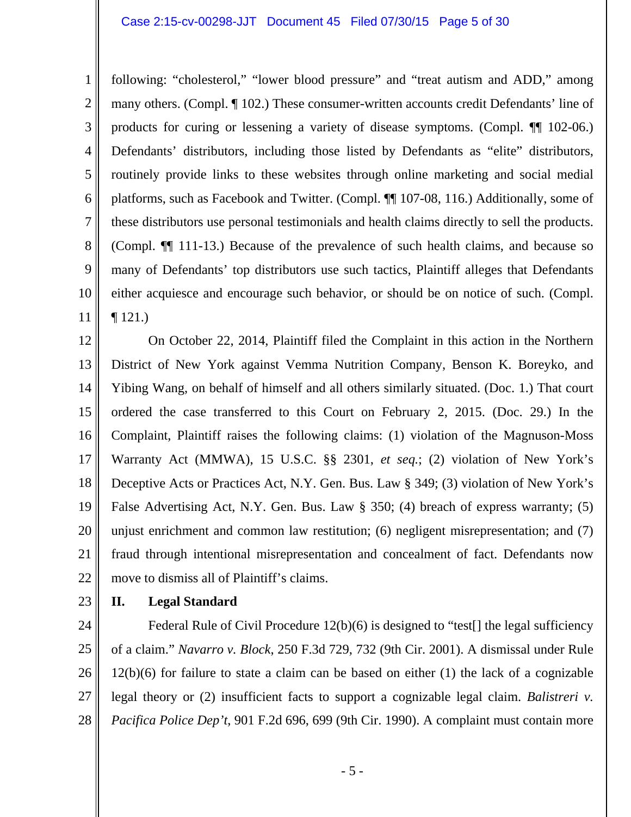1 2 3 4 5 6 7 8 9 10 11 following: "cholesterol," "lower blood pressure" and "treat autism and ADD," among many others. (Compl. ¶ 102.) These consumer-written accounts credit Defendants' line of products for curing or lessening a variety of disease symptoms. (Compl. ¶¶ 102-06.) Defendants' distributors, including those listed by Defendants as "elite" distributors, routinely provide links to these websites through online marketing and social medial platforms, such as Facebook and Twitter. (Compl. ¶¶ 107-08, 116.) Additionally, some of these distributors use personal testimonials and health claims directly to sell the products. (Compl. ¶¶ 111-13.) Because of the prevalence of such health claims, and because so many of Defendants' top distributors use such tactics, Plaintiff alleges that Defendants either acquiesce and encourage such behavior, or should be on notice of such. (Compl.  $\P$  121.)

12 13 14 15 16 17 18 19 20 21 22 On October 22, 2014, Plaintiff filed the Complaint in this action in the Northern District of New York against Vemma Nutrition Company, Benson K. Boreyko, and Yibing Wang, on behalf of himself and all others similarly situated. (Doc. 1.) That court ordered the case transferred to this Court on February 2, 2015. (Doc. 29.) In the Complaint, Plaintiff raises the following claims: (1) violation of the Magnuson-Moss Warranty Act (MMWA), 15 U.S.C. §§ 2301, *et seq.*; (2) violation of New York's Deceptive Acts or Practices Act, N.Y. Gen. Bus. Law § 349; (3) violation of New York's False Advertising Act, N.Y. Gen. Bus. Law § 350; (4) breach of express warranty; (5) unjust enrichment and common law restitution; (6) negligent misrepresentation; and (7) fraud through intentional misrepresentation and concealment of fact. Defendants now move to dismiss all of Plaintiff's claims.

23

# **II. Legal Standard**

24 25 26 27 28 Federal Rule of Civil Procedure 12(b)(6) is designed to "test<sup>[]</sup> the legal sufficiency of a claim." *Navarro v. Block*, 250 F.3d 729, 732 (9th Cir. 2001). A dismissal under Rule 12(b)(6) for failure to state a claim can be based on either (1) the lack of a cognizable legal theory or (2) insufficient facts to support a cognizable legal claim. *Balistreri v. Pacifica Police Dep't*, 901 F.2d 696, 699 (9th Cir. 1990). A complaint must contain more

- 5 -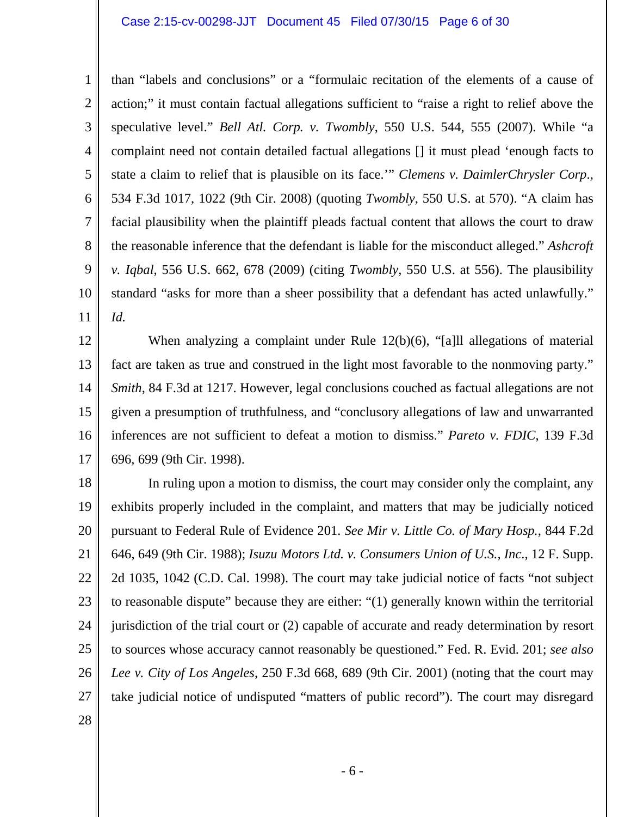#### Case 2:15-cv-00298-JJT Document 45 Filed 07/30/15 Page 6 of 30

1 2 3 4 5 6 7 8 9 10 11 than "labels and conclusions" or a "formulaic recitation of the elements of a cause of action;" it must contain factual allegations sufficient to "raise a right to relief above the speculative level." *Bell Atl. Corp. v. Twombly*, 550 U.S. 544, 555 (2007). While "a complaint need not contain detailed factual allegations [] it must plead 'enough facts to state a claim to relief that is plausible on its face.'" *Clemens v. DaimlerChrysler Corp*., 534 F.3d 1017, 1022 (9th Cir. 2008) (quoting *Twombly*, 550 U.S. at 570). "A claim has facial plausibility when the plaintiff pleads factual content that allows the court to draw the reasonable inference that the defendant is liable for the misconduct alleged." *Ashcroft v. Iqbal*, 556 U.S. 662, 678 (2009) (citing *Twombly*, 550 U.S. at 556). The plausibility standard "asks for more than a sheer possibility that a defendant has acted unlawfully." *Id.*

12 13 14 15 16 17 When analyzing a complaint under Rule 12(b)(6), "[a]ll allegations of material fact are taken as true and construed in the light most favorable to the nonmoving party." *Smith*, 84 F.3d at 1217. However, legal conclusions couched as factual allegations are not given a presumption of truthfulness, and "conclusory allegations of law and unwarranted inferences are not sufficient to defeat a motion to dismiss." *Pareto v. FDIC*, 139 F.3d 696, 699 (9th Cir. 1998).

18 19 20 21 22 23 24 25 26 27 In ruling upon a motion to dismiss, the court may consider only the complaint, any exhibits properly included in the complaint, and matters that may be judicially noticed pursuant to Federal Rule of Evidence 201. *See Mir v. Little Co. of Mary Hosp.*, 844 F.2d 646, 649 (9th Cir. 1988); *Isuzu Motors Ltd. v. Consumers Union of U.S., Inc*., 12 F. Supp. 2d 1035, 1042 (C.D. Cal. 1998). The court may take judicial notice of facts "not subject to reasonable dispute" because they are either: "(1) generally known within the territorial jurisdiction of the trial court or (2) capable of accurate and ready determination by resort to sources whose accuracy cannot reasonably be questioned." Fed. R. Evid. 201; *see also Lee v. City of Los Angeles*, 250 F.3d 668, 689 (9th Cir. 2001) (noting that the court may take judicial notice of undisputed "matters of public record"). The court may disregard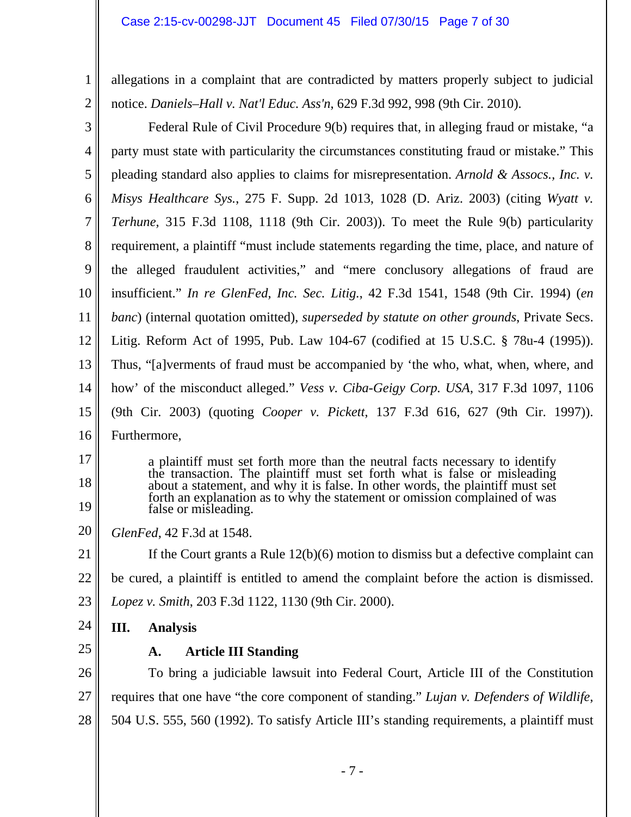1

2

allegations in a complaint that are contradicted by matters properly subject to judicial notice. *Daniels–Hall v. Nat'l Educ. Ass'n*, 629 F.3d 992, 998 (9th Cir. 2010).

| 3              | Federal Rule of Civil Procedure 9(b) requires that, in alleging fraud or mistake, "a                                                                        |  |  |
|----------------|-------------------------------------------------------------------------------------------------------------------------------------------------------------|--|--|
| 4              | party must state with particularity the circumstances constituting fraud or mistake." This                                                                  |  |  |
| 5              | pleading standard also applies to claims for misrepresentation. Arnold & Assocs., Inc. v.                                                                   |  |  |
| 6              | Misys Healthcare Sys., 275 F. Supp. 2d 1013, 1028 (D. Ariz. 2003) (citing Wyatt v.                                                                          |  |  |
| 7              | <i>Terhune</i> , 315 F.3d 1108, 1118 (9th Cir. 2003)). To meet the Rule 9(b) particularity                                                                  |  |  |
| 8              | requirement, a plaintiff "must include statements regarding the time, place, and nature of                                                                  |  |  |
| 9              | the alleged fraudulent activities," and "mere conclusory allegations of fraud are                                                                           |  |  |
| 10             | insufficient." In re GlenFed, Inc. Sec. Litig., 42 F.3d 1541, 1548 (9th Cir. 1994) (en                                                                      |  |  |
| 11             | <i>banc</i> ) (internal quotation omitted), <i>superseded by statute on other grounds</i> , Private Secs.                                                   |  |  |
| 12             | Litig. Reform Act of 1995, Pub. Law 104-67 (codified at 15 U.S.C. § 78u-4 (1995)).                                                                          |  |  |
| 13             | Thus, "[a]verments of fraud must be accompanied by 'the who, what, when, where, and                                                                         |  |  |
| 14             | how' of the misconduct alleged." <i>Vess v. Ciba-Geigy Corp. USA</i> , 317 F.3d 1097, 1106                                                                  |  |  |
| 15             | (9th Cir. 2003) (quoting <i>Cooper v. Pickett</i> , 137 F.3d 616, 627 (9th Cir. 1997)).                                                                     |  |  |
| 16             | Furthermore,                                                                                                                                                |  |  |
| 17             | a plaintiff must set forth more than the neutral facts necessary to identify                                                                                |  |  |
| 18             | the transaction. The plaintiff must set forth what is false or misleading<br>about a statement, and why it is false. In other words, the plaintiff must set |  |  |
|                | forth an explanation as to why the statement or omission complained of was<br>false or misleading.                                                          |  |  |
| 19             |                                                                                                                                                             |  |  |
| 20             | GlenFed, 42 F.3d at 1548.                                                                                                                                   |  |  |
|                | If the Court grants a Rule $12(b)(6)$ motion to dismiss but a defective complaint can                                                                       |  |  |
|                | be cured, a plaintiff is entitled to amend the complaint before the action is dismissed.                                                                    |  |  |
| 23             | Lopez v. Smith, 203 F.3d 1122, 1130 (9th Cir. 2000).                                                                                                        |  |  |
| 24             | Ш.<br><b>Analysis</b>                                                                                                                                       |  |  |
| 25             | <b>Article III Standing</b><br>A.                                                                                                                           |  |  |
| 26             | To bring a judiciable lawsuit into Federal Court, Article III of the Constitution                                                                           |  |  |
| 21<br>22<br>27 | requires that one have "the core component of standing." Lujan v. Defenders of Wildlife,                                                                    |  |  |
| 28             | 504 U.S. 555, 560 (1992). To satisfy Article III's standing requirements, a plaintiff must                                                                  |  |  |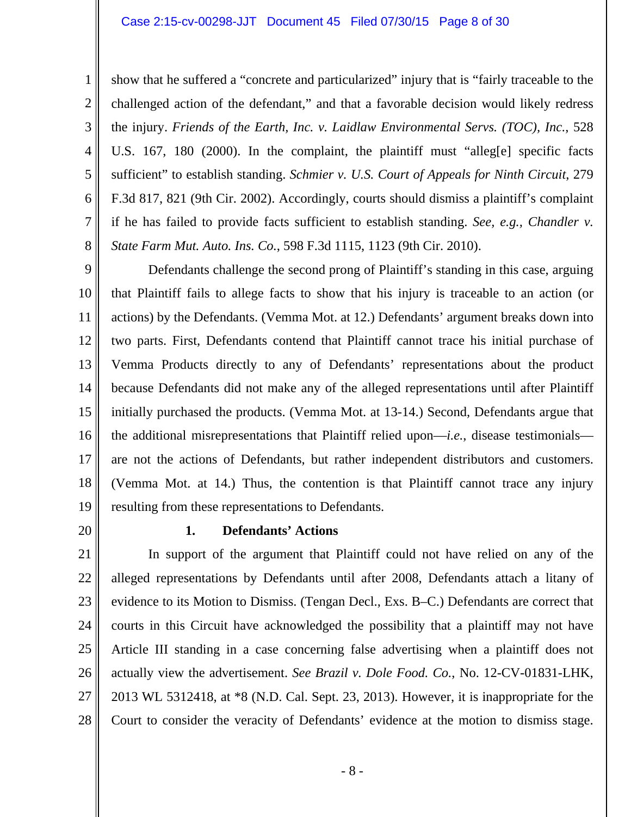#### Case 2:15-cv-00298-JJT Document 45 Filed 07/30/15 Page 8 of 30

show that he suffered a "concrete and particularized" injury that is "fairly traceable to the challenged action of the defendant," and that a favorable decision would likely redress the injury. *Friends of the Earth, Inc. v. Laidlaw Environmental Servs. (TOC), Inc.*, 528 U.S. 167, 180 (2000). In the complaint, the plaintiff must "alleg[e] specific facts sufficient" to establish standing. *Schmier v. U.S. Court of Appeals for Ninth Circuit*, 279 F.3d 817, 821 (9th Cir. 2002). Accordingly, courts should dismiss a plaintiff's complaint if he has failed to provide facts sufficient to establish standing. *See, e.g., Chandler v. State Farm Mut. Auto. Ins. Co.*, 598 F.3d 1115, 1123 (9th Cir. 2010).

9 10 11 12 13 14 15 16 17 18 19 Defendants challenge the second prong of Plaintiff's standing in this case, arguing that Plaintiff fails to allege facts to show that his injury is traceable to an action (or actions) by the Defendants. (Vemma Mot. at 12.) Defendants' argument breaks down into two parts. First, Defendants contend that Plaintiff cannot trace his initial purchase of Vemma Products directly to any of Defendants' representations about the product because Defendants did not make any of the alleged representations until after Plaintiff initially purchased the products. (Vemma Mot. at 13-14.) Second, Defendants argue that the additional misrepresentations that Plaintiff relied upon—*i.e.*, disease testimonials are not the actions of Defendants, but rather independent distributors and customers. (Vemma Mot. at 14.) Thus, the contention is that Plaintiff cannot trace any injury resulting from these representations to Defendants.

20

1

2

3

4

5

6

7

8

## **1. Defendants' Actions**

21 22 23 24 25 26 27 28 In support of the argument that Plaintiff could not have relied on any of the alleged representations by Defendants until after 2008, Defendants attach a litany of evidence to its Motion to Dismiss. (Tengan Decl., Exs. B–C.) Defendants are correct that courts in this Circuit have acknowledged the possibility that a plaintiff may not have Article III standing in a case concerning false advertising when a plaintiff does not actually view the advertisement. *See Brazil v. Dole Food. Co.*, No. 12-CV-01831-LHK, 2013 WL 5312418, at \*8 (N.D. Cal. Sept. 23, 2013). However, it is inappropriate for the Court to consider the veracity of Defendants' evidence at the motion to dismiss stage.

- 8 -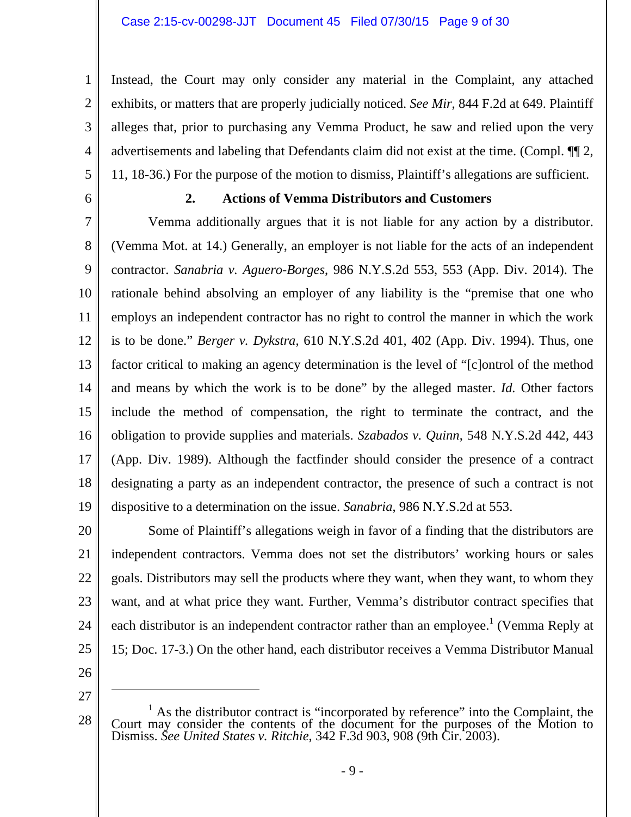Instead, the Court may only consider any material in the Complaint, any attached exhibits, or matters that are properly judicially noticed. *See Mir*, 844 F.2d at 649. Plaintiff alleges that, prior to purchasing any Vemma Product, he saw and relied upon the very advertisements and labeling that Defendants claim did not exist at the time. (Compl. ¶¶ 2, 11, 18-36.) For the purpose of the motion to dismiss, Plaintiff's allegations are sufficient.

6

1

2

3

4

5

# **2. Actions of Vemma Distributors and Customers**

7 8 9 10 11 12 13 14 15 16 17 18 19 Vemma additionally argues that it is not liable for any action by a distributor. (Vemma Mot. at 14.) Generally, an employer is not liable for the acts of an independent contractor. *Sanabria v. Aguero-Borges*, 986 N.Y.S.2d 553, 553 (App. Div. 2014). The rationale behind absolving an employer of any liability is the "premise that one who employs an independent contractor has no right to control the manner in which the work is to be done." *Berger v. Dykstra*, 610 N.Y.S.2d 401, 402 (App. Div. 1994). Thus, one factor critical to making an agency determination is the level of "[c]ontrol of the method and means by which the work is to be done" by the alleged master. *Id.* Other factors include the method of compensation, the right to terminate the contract, and the obligation to provide supplies and materials. *Szabados v. Quinn*, 548 N.Y.S.2d 442, 443 (App. Div. 1989). Although the factfinder should consider the presence of a contract designating a party as an independent contractor, the presence of such a contract is not dispositive to a determination on the issue. *Sanabria*, 986 N.Y.S.2d at 553.

20 21 22 23 24 25 Some of Plaintiff's allegations weigh in favor of a finding that the distributors are independent contractors. Vemma does not set the distributors' working hours or sales goals. Distributors may sell the products where they want, when they want, to whom they want, and at what price they want. Further, Vemma's distributor contract specifies that each distributor is an independent contractor rather than an employee.<sup>1</sup> (Vemma Reply at 15; Doc. 17-3.) On the other hand, each distributor receives a Vemma Distributor Manual

- 26
- 27

 $\overline{a}$ 

<sup>&</sup>lt;sup>1</sup> As the distributor contract is "incorporated by reference" into the Complaint, the Court may consider the contents of the document for the purposes of the Motion to Dismiss. *See United States v. Ritchie*, 342 F.3d 903, 908 (9th Cir. 2003).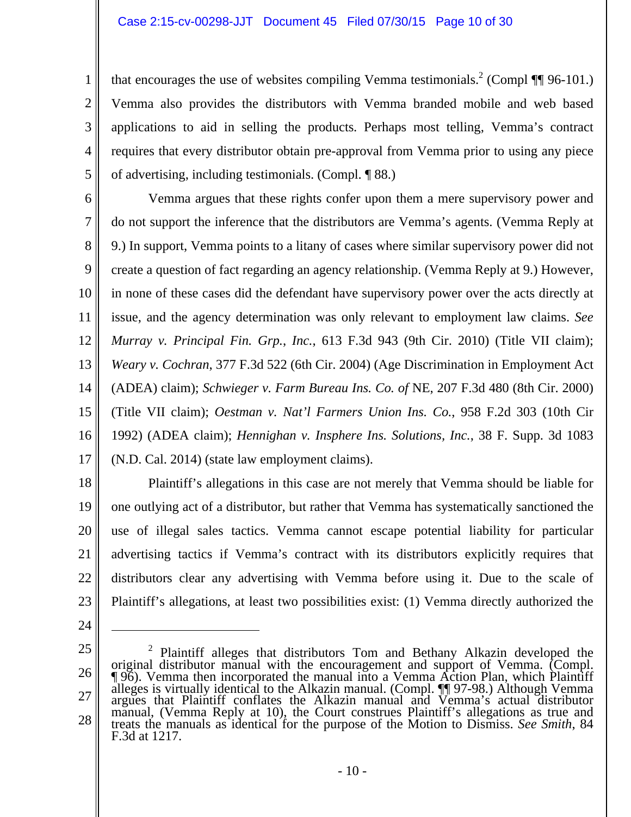that encourages the use of websites compiling Vemma testimonials.<sup>2</sup> (Compl  $\P$  96-101.) Vemma also provides the distributors with Vemma branded mobile and web based applications to aid in selling the products. Perhaps most telling, Vemma's contract requires that every distributor obtain pre-approval from Vemma prior to using any piece of advertising, including testimonials. (Compl. ¶ 88.)

6 7 8 9 10 11 12 13 14 15 16 17 Vemma argues that these rights confer upon them a mere supervisory power and do not support the inference that the distributors are Vemma's agents. (Vemma Reply at 9.) In support, Vemma points to a litany of cases where similar supervisory power did not create a question of fact regarding an agency relationship. (Vemma Reply at 9.) However, in none of these cases did the defendant have supervisory power over the acts directly at issue, and the agency determination was only relevant to employment law claims. *See Murray v. Principal Fin. Grp.*, *Inc.*, 613 F.3d 943 (9th Cir. 2010) (Title VII claim); *Weary v. Cochran*, 377 F.3d 522 (6th Cir. 2004) (Age Discrimination in Employment Act (ADEA) claim); *Schwieger v. Farm Bureau Ins. Co. of* NE, 207 F.3d 480 (8th Cir. 2000) (Title VII claim); *Oestman v. Nat'l Farmers Union Ins. Co.*, 958 F.2d 303 (10th Cir 1992) (ADEA claim); *Hennighan v. Insphere Ins. Solutions, Inc.*, 38 F. Supp. 3d 1083 (N.D. Cal. 2014) (state law employment claims).

18 19 20 21 22 23 Plaintiff's allegations in this case are not merely that Vemma should be liable for one outlying act of a distributor, but rather that Vemma has systematically sanctioned the use of illegal sales tactics. Vemma cannot escape potential liability for particular advertising tactics if Vemma's contract with its distributors explicitly requires that distributors clear any advertising with Vemma before using it. Due to the scale of Plaintiff's allegations, at least two possibilities exist: (1) Vemma directly authorized the

24

 $\overline{a}$ 

1

2

3

4

5

<sup>26</sup>  27 28 <sup>2</sup> Plaintiff alleges that distributors Tom and Bethany Alkazin developed the original distributor manual with the encouragement and support of Vemma. (Compl.  $\P$ 96). Vemma then incorporated the manual into a Vemma Action alleges is virtually identical to the Alkazin manual. (Compl. ¶¶ 97-98.) Although Vemma argues that Plaintiff conflates the Alkazin manual and Vemma's actual distributor manual, (Vemma Reply at 10), the Court construes Plaintiff's allegations as true and treats the manuals as identical for the purpose of the Motion to Dismiss. *See Smith*, 84 treats the manuals as identical for the purpose of the Motion to Dismiss. See Smith, 84 F.3d at 1217.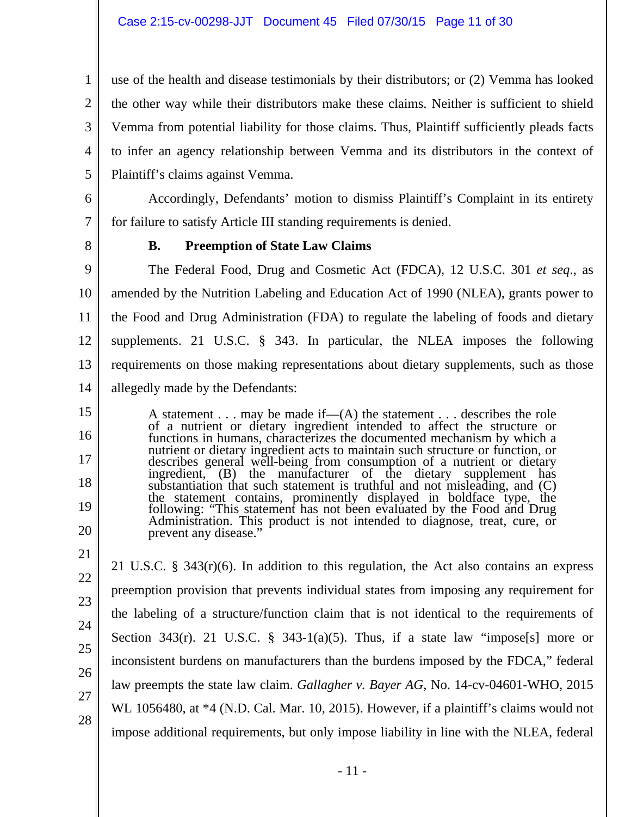use of the health and disease testimonials by their distributors; or (2) Vemma has looked the other way while their distributors make these claims. Neither is sufficient to shield Vemma from potential liability for those claims. Thus, Plaintiff sufficiently pleads facts to infer an agency relationship between Vemma and its distributors in the context of Plaintiff's claims against Vemma.

Accordingly, Defendants' motion to dismiss Plaintiff's Complaint in its entirety for failure to satisfy Article III standing requirements is denied.

8

7

1

2

3

4

5

6

# **B. Preemption of State Law Claims**

9 10 11 12 13 14 The Federal Food, Drug and Cosmetic Act (FDCA), 12 U.S.C. 301 *et seq*., as amended by the Nutrition Labeling and Education Act of 1990 (NLEA), grants power to the Food and Drug Administration (FDA) to regulate the labeling of foods and dietary supplements. 21 U.S.C. § 343. In particular, the NLEA imposes the following requirements on those making representations about dietary supplements, such as those allegedly made by the Defendants:

A statement . . . may be made if— $(A)$  the statement . . . describes the role of a nutrient or dietary ingredient intended to affect the structure or functions in humans, characterizes the documented mechanism by which a nutrient or dietary ingredient acts to maintain such structure or function, or describes general well-being from consumption of a nutrient or dietary describes general wentiting from consumption of a nutrient of dietary<br>ingredient, (B) the manufacturer of the dietary supplement has<br>substantiation that such statement is truthful and not misleading, and (C) the statement contains, prominently displayed in boldface type, the following: "This statement has not been evaluated by the Food and Drug Administration. This product is not intended to diagnose, treat, cure, or prevent a

20 21

22

23

24

25

26

27

28

15

16

17

18

19

21 U.S.C. § 343(r)(6). In addition to this regulation, the Act also contains an express preemption provision that prevents individual states from imposing any requirement for the labeling of a structure/function claim that is not identical to the requirements of Section 343(r). 21 U.S.C. § 343-1(a)(5). Thus, if a state law "impose[s] more or inconsistent burdens on manufacturers than the burdens imposed by the FDCA," federal law preempts the state law claim. *Gallagher v. Bayer AG*, No. 14-cv-04601-WHO, 2015 WL 1056480, at  $*4$  (N.D. Cal. Mar. 10, 2015). However, if a plaintiff's claims would not impose additional requirements, but only impose liability in line with the NLEA, federal

- 11 -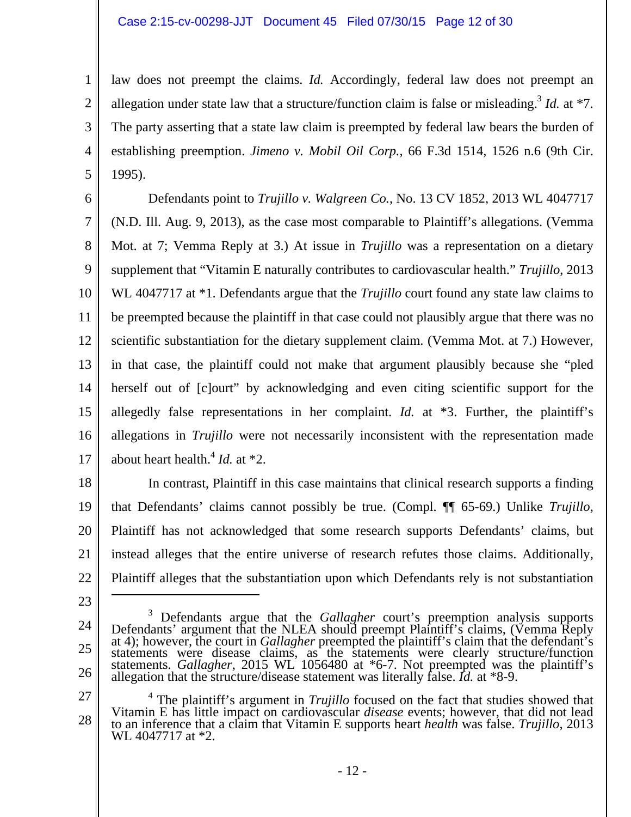law does not preempt the claims. *Id.* Accordingly, federal law does not preempt an allegation under state law that a structure/function claim is false or misleading.<sup>3</sup> *Id.* at  $*7$ . The party asserting that a state law claim is preempted by federal law bears the burden of establishing preemption. *Jimeno v. Mobil Oil Corp.*, 66 F.3d 1514, 1526 n.6 (9th Cir. 1995).

6 7 8 9 10 11 12 13 14 15 16 17 Defendants point to *Trujillo v. Walgreen Co.*, No. 13 CV 1852, 2013 WL 4047717 (N.D. Ill. Aug. 9, 2013), as the case most comparable to Plaintiff's allegations. (Vemma Mot. at 7; Vemma Reply at 3.) At issue in *Trujillo* was a representation on a dietary supplement that "Vitamin E naturally contributes to cardiovascular health." *Trujillo*, 2013 WL 4047717 at \*1. Defendants argue that the *Trujillo* court found any state law claims to be preempted because the plaintiff in that case could not plausibly argue that there was no scientific substantiation for the dietary supplement claim. (Vemma Mot. at 7.) However, in that case, the plaintiff could not make that argument plausibly because she "pled herself out of [c]ourt" by acknowledging and even citing scientific support for the allegedly false representations in her complaint. *Id.* at \*3. Further, the plaintiff's allegations in *Trujillo* were not necessarily inconsistent with the representation made about heart health.4 *Id.* at \*2.

18 19 20 21 22 In contrast, Plaintiff in this case maintains that clinical research supports a finding that Defendants' claims cannot possibly be true. (Compl. ¶¶ 65-69.) Unlike *Trujillo*, Plaintiff has not acknowledged that some research supports Defendants' claims, but instead alleges that the entire universe of research refutes those claims. Additionally, Plaintiff alleges that the substantiation upon which Defendants rely is not substantiation  $\overline{a}$ 

23

1

2

3

4

5

- 24
- 25

26

27 28 <sup>4</sup> The plaintiff's argument in *Trujillo* focused on the fact that studies showed that Vitamin E has little impact on cardiovascular *disease* events; however, that did not lead to an inference that a claim that Vitamin E supports heart *health* was false. *Trujillo*, 2013 WL 4047717 at \*2.

<sup>&</sup>lt;sup>3</sup> Defendants argue that the *Gallagher* court's preemption analysis supports Defendants' argument that the NLEA should preempt Plaintiff's claims, (Vemma Reply at 4); however, the court in *Gallagher* preempted the plai statements were disease claims, as the statements were clearly structure/function statements. *Gallagher*, 2015 WL 1056480 at \*6-7. Not preempted was the plaintiff's allegation that the structure/disease statement was literally false. *Id.* at \*8-9.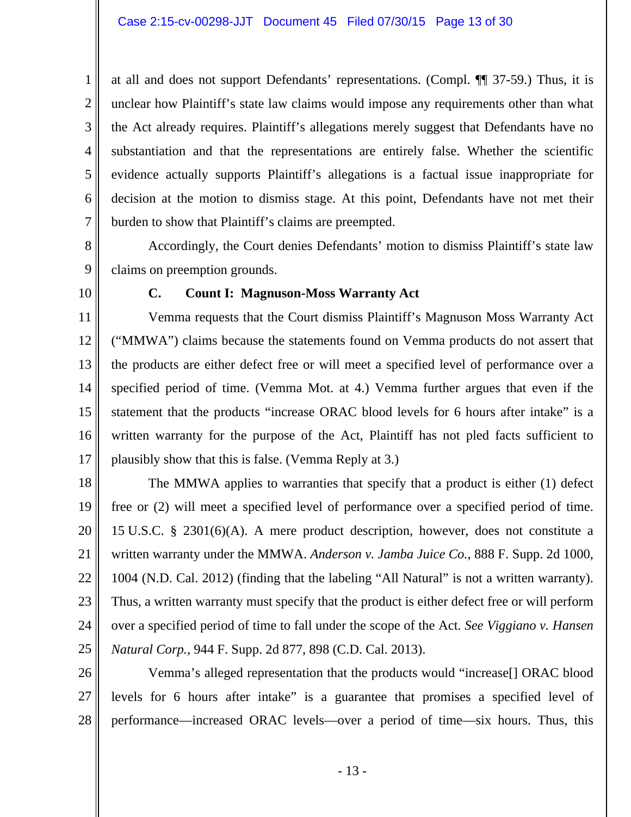at all and does not support Defendants' representations. (Compl. ¶¶ 37-59.) Thus, it is unclear how Plaintiff's state law claims would impose any requirements other than what the Act already requires. Plaintiff's allegations merely suggest that Defendants have no substantiation and that the representations are entirely false. Whether the scientific evidence actually supports Plaintiff's allegations is a factual issue inappropriate for decision at the motion to dismiss stage. At this point, Defendants have not met their burden to show that Plaintiff's claims are preempted.

 Accordingly, the Court denies Defendants' motion to dismiss Plaintiff's state law claims on preemption grounds.

10

1

2

3

4

5

6

7

8

9

## **C. Count I: Magnuson-Moss Warranty Act**

11 12 13 14 15 16 17 Vemma requests that the Court dismiss Plaintiff's Magnuson Moss Warranty Act ("MMWA") claims because the statements found on Vemma products do not assert that the products are either defect free or will meet a specified level of performance over a specified period of time. (Vemma Mot. at 4.) Vemma further argues that even if the statement that the products "increase ORAC blood levels for 6 hours after intake" is a written warranty for the purpose of the Act, Plaintiff has not pled facts sufficient to plausibly show that this is false. (Vemma Reply at 3.)

18 19 20 21 22 23 24 25 The MMWA applies to warranties that specify that a product is either (1) defect free or (2) will meet a specified level of performance over a specified period of time. 15 U.S.C. § 2301(6)(A). A mere product description, however, does not constitute a written warranty under the MMWA. *Anderson v. Jamba Juice Co.*, 888 F. Supp. 2d 1000, 1004 (N.D. Cal. 2012) (finding that the labeling "All Natural" is not a written warranty). Thus, a written warranty must specify that the product is either defect free or will perform over a specified period of time to fall under the scope of the Act. *See Viggiano v. Hansen Natural Corp.*, 944 F. Supp. 2d 877, 898 (C.D. Cal. 2013).

26 27 28 Vemma's alleged representation that the products would "increase[] ORAC blood levels for 6 hours after intake" is a guarantee that promises a specified level of performance—increased ORAC levels—over a period of time—six hours. Thus, this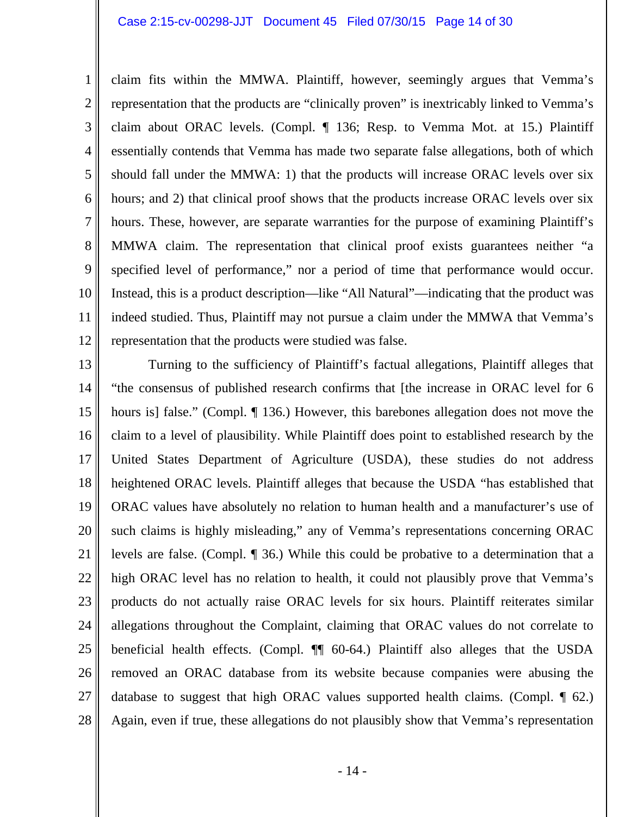#### Case 2:15-cv-00298-JJT Document 45 Filed 07/30/15 Page 14 of 30

1 2 3 4 5 6 7 8 9 10 11 12 claim fits within the MMWA. Plaintiff, however, seemingly argues that Vemma's representation that the products are "clinically proven" is inextricably linked to Vemma's claim about ORAC levels. (Compl. ¶ 136; Resp. to Vemma Mot. at 15.) Plaintiff essentially contends that Vemma has made two separate false allegations, both of which should fall under the MMWA: 1) that the products will increase ORAC levels over six hours; and 2) that clinical proof shows that the products increase ORAC levels over six hours. These, however, are separate warranties for the purpose of examining Plaintiff's MMWA claim. The representation that clinical proof exists guarantees neither "a specified level of performance," nor a period of time that performance would occur. Instead, this is a product description—like "All Natural"—indicating that the product was indeed studied. Thus, Plaintiff may not pursue a claim under the MMWA that Vemma's representation that the products were studied was false.

13 14 15 16 17 18 19 20 21 22 23 24 25 26 27 28 Turning to the sufficiency of Plaintiff's factual allegations, Plaintiff alleges that "the consensus of published research confirms that [the increase in ORAC level for 6 hours is] false." (Compl. ¶ 136.) However, this barebones allegation does not move the claim to a level of plausibility. While Plaintiff does point to established research by the United States Department of Agriculture (USDA), these studies do not address heightened ORAC levels. Plaintiff alleges that because the USDA "has established that ORAC values have absolutely no relation to human health and a manufacturer's use of such claims is highly misleading," any of Vemma's representations concerning ORAC levels are false. (Compl. ¶ 36.) While this could be probative to a determination that a high ORAC level has no relation to health, it could not plausibly prove that Vemma's products do not actually raise ORAC levels for six hours. Plaintiff reiterates similar allegations throughout the Complaint, claiming that ORAC values do not correlate to beneficial health effects. (Compl. ¶¶ 60-64.) Plaintiff also alleges that the USDA removed an ORAC database from its website because companies were abusing the database to suggest that high ORAC values supported health claims. (Compl. ¶ 62.) Again, even if true, these allegations do not plausibly show that Vemma's representation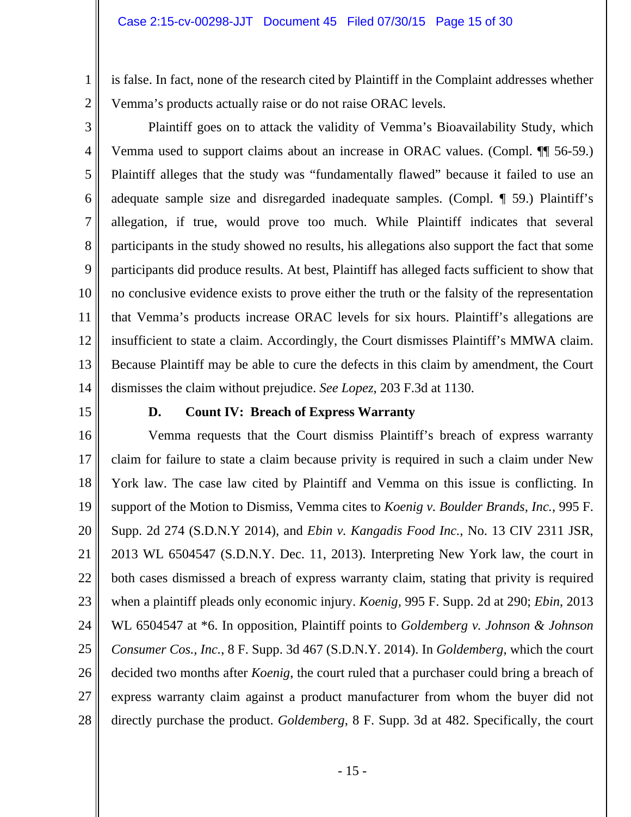is false. In fact, none of the research cited by Plaintiff in the Complaint addresses whether Vemma's products actually raise or do not raise ORAC levels.

3 4 5 6 7 8 9 10 11 12 13 14 Plaintiff goes on to attack the validity of Vemma's Bioavailability Study, which Vemma used to support claims about an increase in ORAC values. (Compl. ¶¶ 56-59.) Plaintiff alleges that the study was "fundamentally flawed" because it failed to use an adequate sample size and disregarded inadequate samples. (Compl. ¶ 59.) Plaintiff's allegation, if true, would prove too much. While Plaintiff indicates that several participants in the study showed no results, his allegations also support the fact that some participants did produce results. At best, Plaintiff has alleged facts sufficient to show that no conclusive evidence exists to prove either the truth or the falsity of the representation that Vemma's products increase ORAC levels for six hours. Plaintiff's allegations are insufficient to state a claim. Accordingly, the Court dismisses Plaintiff's MMWA claim. Because Plaintiff may be able to cure the defects in this claim by amendment, the Court dismisses the claim without prejudice. *See Lopez*, 203 F.3d at 1130.

15

1

2

# **D. Count IV: Breach of Express Warranty**

16 17 18 19 20 21 22 23 24 25 26 27 28 Vemma requests that the Court dismiss Plaintiff's breach of express warranty claim for failure to state a claim because privity is required in such a claim under New York law. The case law cited by Plaintiff and Vemma on this issue is conflicting. In support of the Motion to Dismiss, Vemma cites to *Koenig v. Boulder Brands, Inc.*, 995 F. Supp. 2d 274 (S.D.N.Y 2014), and *Ebin v. Kangadis Food Inc.*, No. 13 CIV 2311 JSR, 2013 WL 6504547 (S.D.N.Y. Dec. 11, 2013). Interpreting New York law, the court in both cases dismissed a breach of express warranty claim, stating that privity is required when a plaintiff pleads only economic injury. *Koenig,* 995 F. Supp. 2d at 290; *Ebin*, 2013 WL 6504547 at \*6. In opposition, Plaintiff points to *Goldemberg v. Johnson & Johnson Consumer Cos., Inc.*, 8 F. Supp. 3d 467 (S.D.N.Y. 2014). In *Goldemberg*, which the court decided two months after *Koenig*, the court ruled that a purchaser could bring a breach of express warranty claim against a product manufacturer from whom the buyer did not directly purchase the product. *Goldemberg*, 8 F. Supp. 3d at 482. Specifically, the court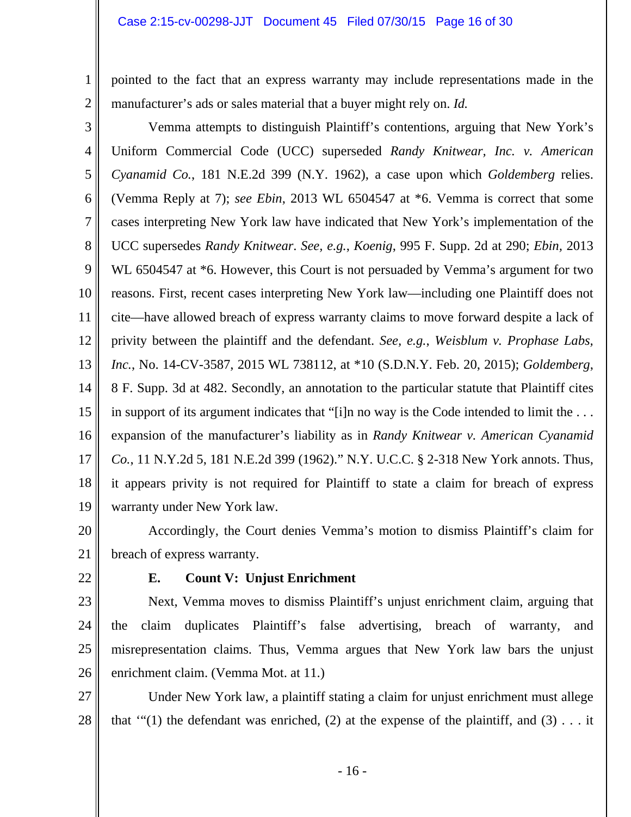pointed to the fact that an express warranty may include representations made in the manufacturer's ads or sales material that a buyer might rely on. *Id.*

3 4 5 6 7 8 9 10 11 12 13 14 15 16 17 18 19 Vemma attempts to distinguish Plaintiff's contentions, arguing that New York's Uniform Commercial Code (UCC) superseded *Randy Knitwear, Inc. v. American Cyanamid Co.*, 181 N.E.2d 399 (N.Y. 1962), a case upon which *Goldemberg* relies. (Vemma Reply at 7); *see Ebin*, 2013 WL 6504547 at \*6. Vemma is correct that some cases interpreting New York law have indicated that New York's implementation of the UCC supersedes *Randy Knitwear*. *See, e.g.*, *Koenig*, 995 F. Supp. 2d at 290; *Ebin,* 2013 WL 6504547 at  $*6$ . However, this Court is not persuaded by Vemma's argument for two reasons. First, recent cases interpreting New York law—including one Plaintiff does not cite—have allowed breach of express warranty claims to move forward despite a lack of privity between the plaintiff and the defendant. *See, e.g.*, *Weisblum v. Prophase Labs, Inc.*, No. 14-CV-3587, 2015 WL 738112, at \*10 (S.D.N.Y. Feb. 20, 2015); *Goldemberg*, 8 F. Supp. 3d at 482. Secondly, an annotation to the particular statute that Plaintiff cites in support of its argument indicates that "[i]n no way is the Code intended to limit the . . . expansion of the manufacturer's liability as in *Randy Knitwear v. American Cyanamid Co.*, 11 N.Y.2d 5, 181 N.E.2d 399 (1962)." N.Y. U.C.C. § 2-318 New York annots. Thus, it appears privity is not required for Plaintiff to state a claim for breach of express warranty under New York law.

20 21 Accordingly, the Court denies Vemma's motion to dismiss Plaintiff's claim for breach of express warranty.

22

1

2

# **E. Count V: Unjust Enrichment**

23 24 25 26 Next, Vemma moves to dismiss Plaintiff's unjust enrichment claim, arguing that the claim duplicates Plaintiff's false advertising, breach of warranty, and misrepresentation claims. Thus, Vemma argues that New York law bars the unjust enrichment claim. (Vemma Mot. at 11.)

27 28 Under New York law, a plaintiff stating a claim for unjust enrichment must allege that " $(1)$  the defendant was enriched,  $(2)$  at the expense of the plaintiff, and  $(3)$ ... it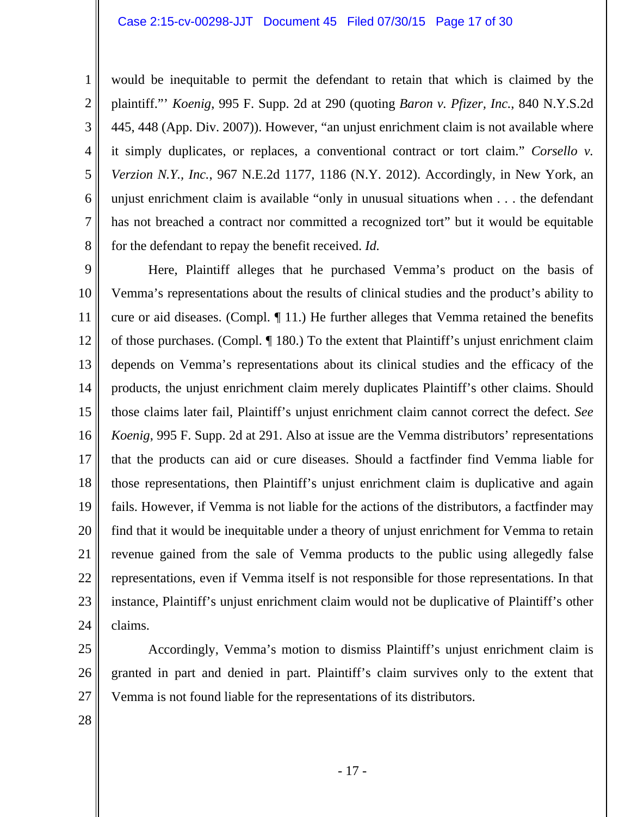#### Case 2:15-cv-00298-JJT Document 45 Filed 07/30/15 Page 17 of 30

would be inequitable to permit the defendant to retain that which is claimed by the plaintiff."' *Koenig*, 995 F. Supp. 2d at 290 (quoting *Baron v. Pfizer, Inc.*, 840 N.Y.S.2d 445, 448 (App. Div. 2007)). However, "an unjust enrichment claim is not available where it simply duplicates, or replaces, a conventional contract or tort claim." *Corsello v. Verzion N.Y., Inc.*, 967 N.E.2d 1177, 1186 (N.Y. 2012). Accordingly, in New York, an unjust enrichment claim is available "only in unusual situations when . . . the defendant has not breached a contract nor committed a recognized tort" but it would be equitable for the defendant to repay the benefit received. *Id.* 

9 10 11 12 13 14 15 16 17 18 19 20 21 22 23 24 Here, Plaintiff alleges that he purchased Vemma's product on the basis of Vemma's representations about the results of clinical studies and the product's ability to cure or aid diseases. (Compl. ¶ 11.) He further alleges that Vemma retained the benefits of those purchases. (Compl. ¶ 180.) To the extent that Plaintiff's unjust enrichment claim depends on Vemma's representations about its clinical studies and the efficacy of the products, the unjust enrichment claim merely duplicates Plaintiff's other claims. Should those claims later fail, Plaintiff's unjust enrichment claim cannot correct the defect. *See Koenig*, 995 F. Supp. 2d at 291. Also at issue are the Vemma distributors' representations that the products can aid or cure diseases. Should a factfinder find Vemma liable for those representations, then Plaintiff's unjust enrichment claim is duplicative and again fails. However, if Vemma is not liable for the actions of the distributors, a factfinder may find that it would be inequitable under a theory of unjust enrichment for Vemma to retain revenue gained from the sale of Vemma products to the public using allegedly false representations, even if Vemma itself is not responsible for those representations. In that instance, Plaintiff's unjust enrichment claim would not be duplicative of Plaintiff's other claims.

25 26 27 Accordingly, Vemma's motion to dismiss Plaintiff's unjust enrichment claim is granted in part and denied in part. Plaintiff's claim survives only to the extent that Vemma is not found liable for the representations of its distributors.

28

1

2

3

4

5

6

7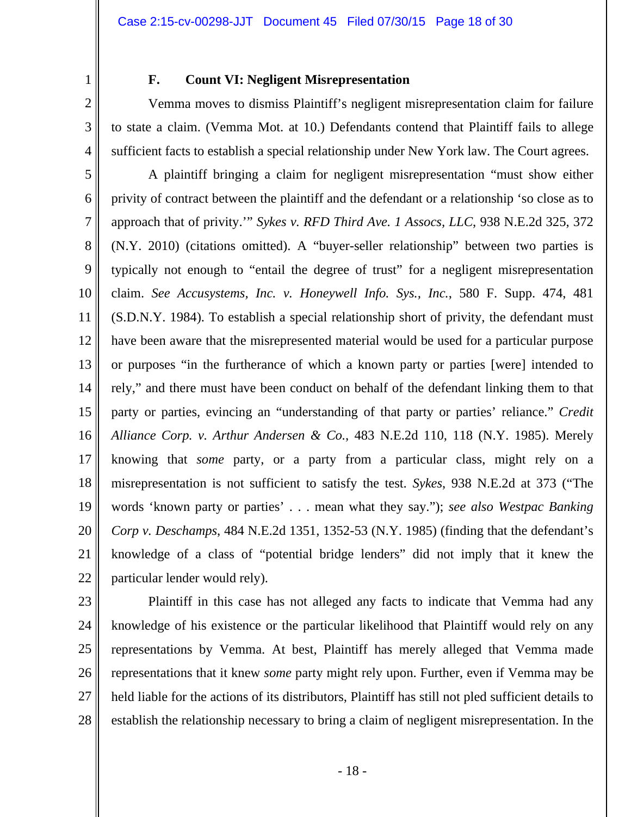1 2

3

4

# **F. Count VI: Negligent Misrepresentation**

 Vemma moves to dismiss Plaintiff's negligent misrepresentation claim for failure to state a claim. (Vemma Mot. at 10.) Defendants contend that Plaintiff fails to allege sufficient facts to establish a special relationship under New York law. The Court agrees.

5 6 7 8 9 10 11 12 13 14 15 16 17 18 19 20 21 22 A plaintiff bringing a claim for negligent misrepresentation "must show either privity of contract between the plaintiff and the defendant or a relationship 'so close as to approach that of privity.'" *Sykes v. RFD Third Ave. 1 Assocs, LLC*, 938 N.E.2d 325, 372 (N.Y. 2010) (citations omitted). A "buyer-seller relationship" between two parties is typically not enough to "entail the degree of trust" for a negligent misrepresentation claim. *See Accusystems, Inc. v. Honeywell Info. Sys., Inc.*, 580 F. Supp. 474, 481 (S.D.N.Y. 1984). To establish a special relationship short of privity, the defendant must have been aware that the misrepresented material would be used for a particular purpose or purposes "in the furtherance of which a known party or parties [were] intended to rely," and there must have been conduct on behalf of the defendant linking them to that party or parties, evincing an "understanding of that party or parties' reliance." *Credit Alliance Corp. v. Arthur Andersen & Co.*, 483 N.E.2d 110, 118 (N.Y. 1985). Merely knowing that *some* party, or a party from a particular class, might rely on a misrepresentation is not sufficient to satisfy the test. *Sykes*, 938 N.E.2d at 373 ("The words 'known party or parties' . . . mean what they say."); *see also Westpac Banking Corp v. Deschamps*, 484 N.E.2d 1351, 1352-53 (N.Y. 1985) (finding that the defendant's knowledge of a class of "potential bridge lenders" did not imply that it knew the particular lender would rely).

23

24 25 26 27 28 Plaintiff in this case has not alleged any facts to indicate that Vemma had any knowledge of his existence or the particular likelihood that Plaintiff would rely on any representations by Vemma. At best, Plaintiff has merely alleged that Vemma made representations that it knew *some* party might rely upon. Further, even if Vemma may be held liable for the actions of its distributors, Plaintiff has still not pled sufficient details to establish the relationship necessary to bring a claim of negligent misrepresentation. In the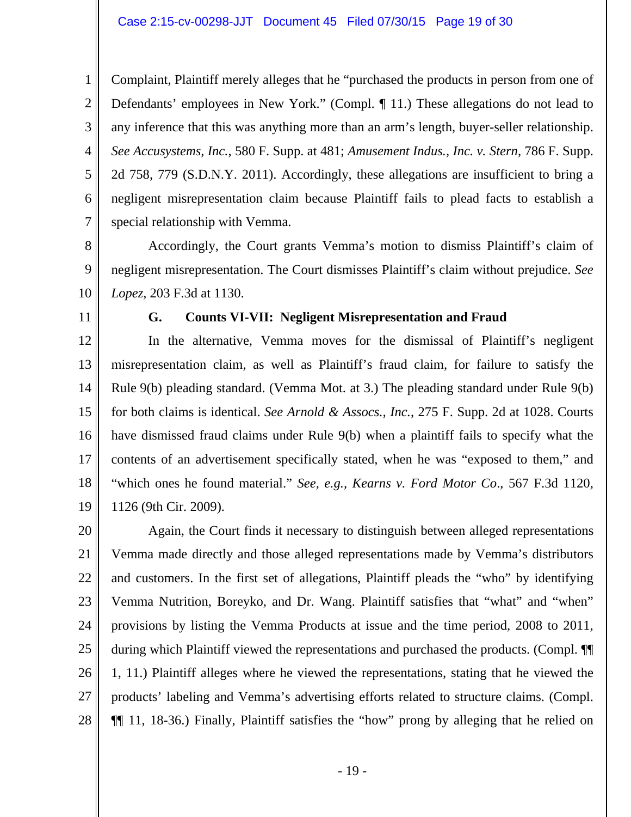Complaint, Plaintiff merely alleges that he "purchased the products in person from one of Defendants' employees in New York." (Compl. ¶ 11.) These allegations do not lead to any inference that this was anything more than an arm's length, buyer-seller relationship. *See Accusystems, Inc.*, 580 F. Supp. at 481; *Amusement Indus., Inc. v. Stern*, 786 F. Supp. 2d 758, 779 (S.D.N.Y. 2011). Accordingly, these allegations are insufficient to bring a negligent misrepresentation claim because Plaintiff fails to plead facts to establish a special relationship with Vemma.

 Accordingly, the Court grants Vemma's motion to dismiss Plaintiff's claim of negligent misrepresentation. The Court dismisses Plaintiff's claim without prejudice. *See Lopez*, 203 F.3d at 1130.

11

10

1

2

3

4

5

6

7

8

9

# **G. Counts VI-VII: Negligent Misrepresentation and Fraud**

12 13 14 15 16 17 18 19 In the alternative, Vemma moves for the dismissal of Plaintiff's negligent misrepresentation claim, as well as Plaintiff's fraud claim, for failure to satisfy the Rule 9(b) pleading standard. (Vemma Mot. at 3.) The pleading standard under Rule 9(b) for both claims is identical. *See Arnold & Assocs., Inc.*, 275 F. Supp. 2d at 1028. Courts have dismissed fraud claims under Rule 9(b) when a plaintiff fails to specify what the contents of an advertisement specifically stated, when he was "exposed to them," and "which ones he found material." *See, e.g., Kearns v. Ford Motor Co*., 567 F.3d 1120, 1126 (9th Cir. 2009).

20 21 22 23 24 25 26 27 28 Again, the Court finds it necessary to distinguish between alleged representations Vemma made directly and those alleged representations made by Vemma's distributors and customers. In the first set of allegations, Plaintiff pleads the "who" by identifying Vemma Nutrition, Boreyko, and Dr. Wang. Plaintiff satisfies that "what" and "when" provisions by listing the Vemma Products at issue and the time period, 2008 to 2011, during which Plaintiff viewed the representations and purchased the products. (Compl. ¶¶ 1, 11.) Plaintiff alleges where he viewed the representations, stating that he viewed the products' labeling and Vemma's advertising efforts related to structure claims. (Compl. ¶¶ 11, 18-36.) Finally, Plaintiff satisfies the "how" prong by alleging that he relied on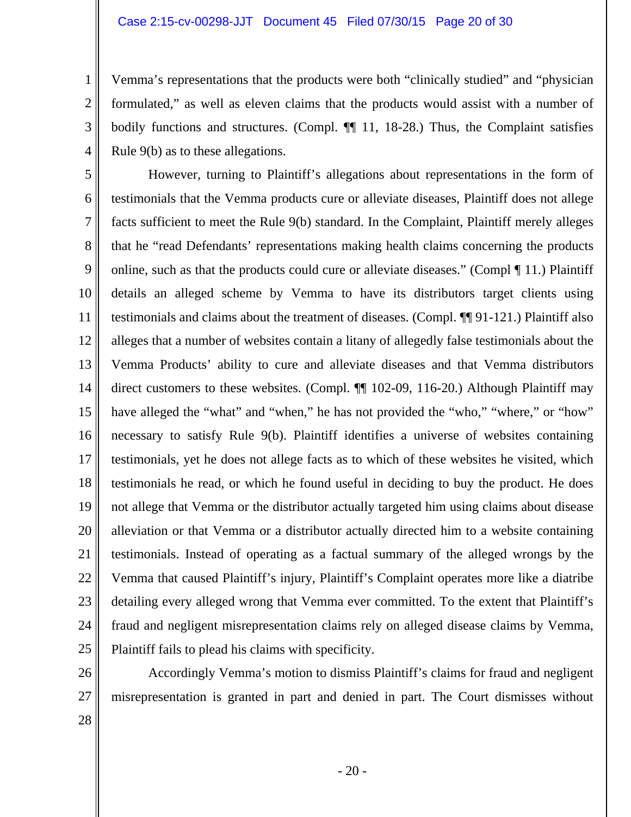#### Case 2:15-cv-00298-JJT Document 45 Filed 07/30/15 Page 20 of 30

Vemma's representations that the products were both "clinically studied" and "physician formulated," as well as eleven claims that the products would assist with a number of bodily functions and structures. (Compl.  $\P$  11, 18-28.) Thus, the Complaint satisfies Rule 9(b) as to these allegations.

5 6 7 8 9 10 11 12 13 14 15 16 17 18 19 20 21 22 23 24 25 However, turning to Plaintiff's allegations about representations in the form of testimonials that the Vemma products cure or alleviate diseases, Plaintiff does not allege facts sufficient to meet the Rule 9(b) standard. In the Complaint, Plaintiff merely alleges that he "read Defendants' representations making health claims concerning the products online, such as that the products could cure or alleviate diseases." (Compl ¶ 11.) Plaintiff details an alleged scheme by Vemma to have its distributors target clients using testimonials and claims about the treatment of diseases. (Compl. ¶¶ 91-121.) Plaintiff also alleges that a number of websites contain a litany of allegedly false testimonials about the Vemma Products' ability to cure and alleviate diseases and that Vemma distributors direct customers to these websites. (Compl.  $\P$  102-09, 116-20.) Although Plaintiff may have alleged the "what" and "when," he has not provided the "who," "where," or "how" necessary to satisfy Rule 9(b). Plaintiff identifies a universe of websites containing testimonials, yet he does not allege facts as to which of these websites he visited, which testimonials he read, or which he found useful in deciding to buy the product. He does not allege that Vemma or the distributor actually targeted him using claims about disease alleviation or that Vemma or a distributor actually directed him to a website containing testimonials. Instead of operating as a factual summary of the alleged wrongs by the Vemma that caused Plaintiff's injury, Plaintiff's Complaint operates more like a diatribe detailing every alleged wrong that Vemma ever committed. To the extent that Plaintiff's fraud and negligent misrepresentation claims rely on alleged disease claims by Vemma, Plaintiff fails to plead his claims with specificity.

26

1

2

3

4

 Accordingly Vemma's motion to dismiss Plaintiff's claims for fraud and negligent misrepresentation is granted in part and denied in part. The Court dismisses without

28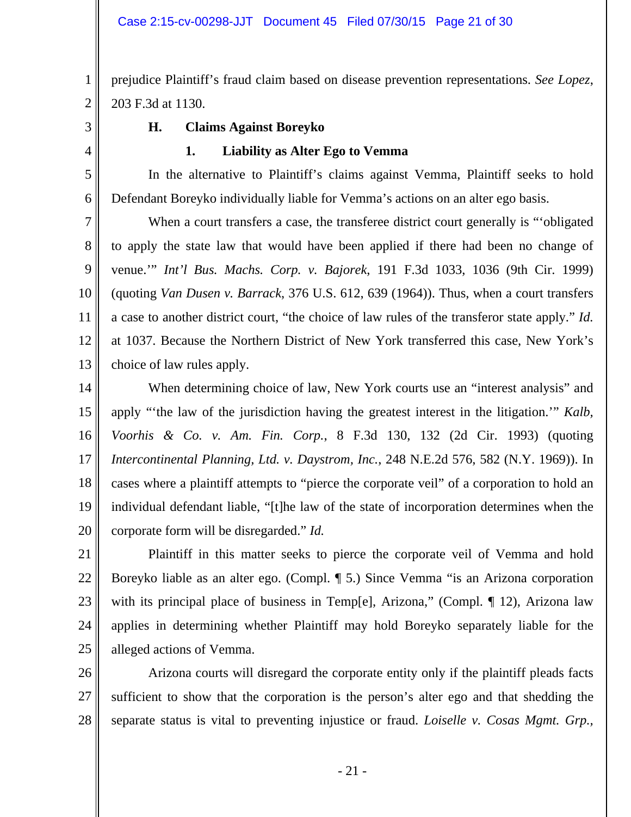1 2 prejudice Plaintiff's fraud claim based on disease prevention representations. *See Lopez*, 203 F.3d at 1130.

3

4

5

6

## **H. Claims Against Boreyko**

### **1. Liability as Alter Ego to Vemma**

In the alternative to Plaintiff's claims against Vemma, Plaintiff seeks to hold Defendant Boreyko individually liable for Vemma's actions on an alter ego basis.

7 8 9 10 11 12 13 When a court transfers a case, the transferee district court generally is "'obligated to apply the state law that would have been applied if there had been no change of venue.'" *Int'l Bus. Machs. Corp. v. Bajorek*, 191 F.3d 1033, 1036 (9th Cir. 1999) (quoting *Van Dusen v. Barrack*, 376 U.S. 612, 639 (1964)). Thus, when a court transfers a case to another district court, "the choice of law rules of the transferor state apply." *Id.* at 1037. Because the Northern District of New York transferred this case, New York's choice of law rules apply.

14 15 16 17 18 19 20 When determining choice of law, New York courts use an "interest analysis" and apply "'the law of the jurisdiction having the greatest interest in the litigation.'" *Kalb, Voorhis & Co. v. Am. Fin. Corp.*, 8 F.3d 130, 132 (2d Cir. 1993) (quoting *Intercontinental Planning, Ltd. v. Daystrom, Inc.*, 248 N.E.2d 576, 582 (N.Y. 1969)). In cases where a plaintiff attempts to "pierce the corporate veil" of a corporation to hold an individual defendant liable, "[t]he law of the state of incorporation determines when the corporate form will be disregarded." *Id.*

21 22 23 24 25 Plaintiff in this matter seeks to pierce the corporate veil of Vemma and hold Boreyko liable as an alter ego. (Compl. ¶ 5.) Since Vemma "is an Arizona corporation with its principal place of business in Temp[e], Arizona," (Compl. ¶ 12), Arizona law applies in determining whether Plaintiff may hold Boreyko separately liable for the alleged actions of Vemma.

26 27 28 Arizona courts will disregard the corporate entity only if the plaintiff pleads facts sufficient to show that the corporation is the person's alter ego and that shedding the separate status is vital to preventing injustice or fraud. *Loiselle v. Cosas Mgmt. Grp.,* 

- 21 -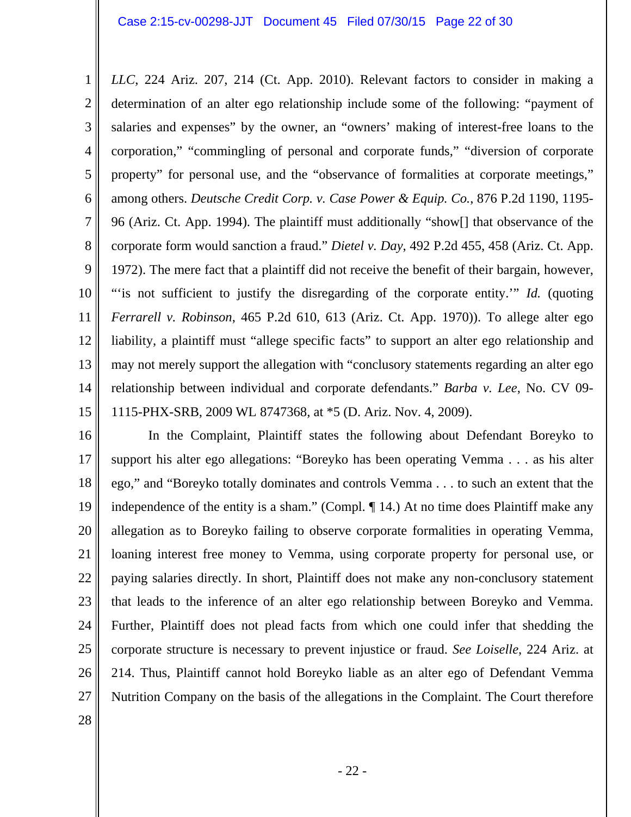1 2 3 4 5 6 7 8 9 10 11 12 13 14 15 *LLC*, 224 Ariz. 207, 214 (Ct. App. 2010). Relevant factors to consider in making a determination of an alter ego relationship include some of the following: "payment of salaries and expenses" by the owner, an "owners' making of interest-free loans to the corporation," "commingling of personal and corporate funds," "diversion of corporate property" for personal use, and the "observance of formalities at corporate meetings," among others. *Deutsche Credit Corp. v. Case Power & Equip. Co.*, 876 P.2d 1190, 1195- 96 (Ariz. Ct. App. 1994). The plaintiff must additionally "show[] that observance of the corporate form would sanction a fraud." *Dietel v. Day*, 492 P.2d 455, 458 (Ariz. Ct. App. 1972). The mere fact that a plaintiff did not receive the benefit of their bargain, however, "is not sufficient to justify the disregarding of the corporate entity." *Id.* (quoting *Ferrarell v. Robinson*, 465 P.2d 610, 613 (Ariz. Ct. App. 1970)). To allege alter ego liability, a plaintiff must "allege specific facts" to support an alter ego relationship and may not merely support the allegation with "conclusory statements regarding an alter ego relationship between individual and corporate defendants." *Barba v. Lee*, No. CV 09- 1115-PHX-SRB, 2009 WL 8747368, at \*5 (D. Ariz. Nov. 4, 2009).

16 17 18 19 20 21 22 23 24 25 26 27 In the Complaint, Plaintiff states the following about Defendant Boreyko to support his alter ego allegations: "Boreyko has been operating Vemma . . . as his alter ego," and "Boreyko totally dominates and controls Vemma . . . to such an extent that the independence of the entity is a sham." (Compl. ¶ 14.) At no time does Plaintiff make any allegation as to Boreyko failing to observe corporate formalities in operating Vemma, loaning interest free money to Vemma, using corporate property for personal use, or paying salaries directly. In short, Plaintiff does not make any non-conclusory statement that leads to the inference of an alter ego relationship between Boreyko and Vemma. Further, Plaintiff does not plead facts from which one could infer that shedding the corporate structure is necessary to prevent injustice or fraud. *See Loiselle*, 224 Ariz. at 214. Thus, Plaintiff cannot hold Boreyko liable as an alter ego of Defendant Vemma Nutrition Company on the basis of the allegations in the Complaint. The Court therefore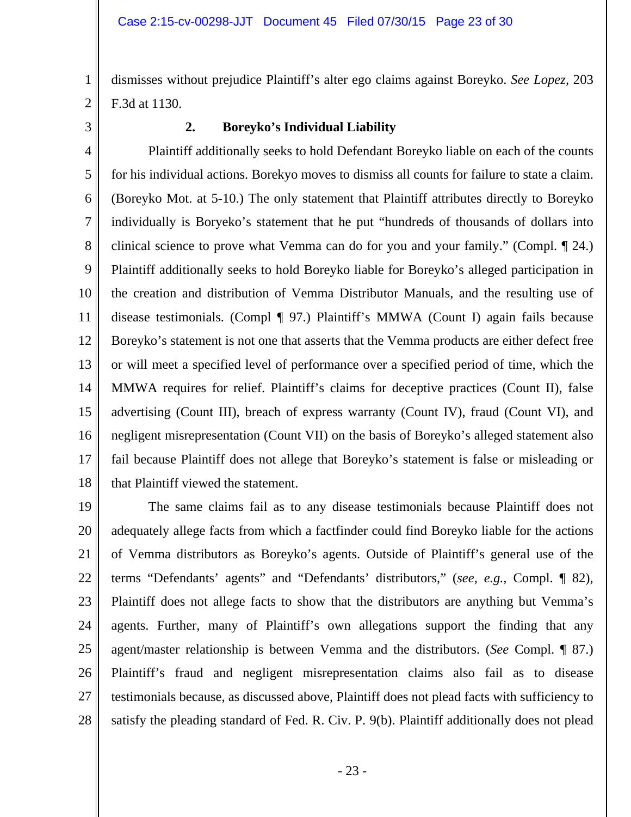dismisses without prejudice Plaintiff's alter ego claims against Boreyko. *See Lopez*, 203 F.3d at 1130.

3

1

2

### **2. Boreyko's Individual Liability**

4 5 6 7 8 9 10 11 12 13 14 15 16 17 18 Plaintiff additionally seeks to hold Defendant Boreyko liable on each of the counts for his individual actions. Borekyo moves to dismiss all counts for failure to state a claim. (Boreyko Mot. at 5-10.) The only statement that Plaintiff attributes directly to Boreyko individually is Boryeko's statement that he put "hundreds of thousands of dollars into clinical science to prove what Vemma can do for you and your family." (Compl. ¶ 24.) Plaintiff additionally seeks to hold Boreyko liable for Boreyko's alleged participation in the creation and distribution of Vemma Distributor Manuals, and the resulting use of disease testimonials. (Compl ¶ 97.) Plaintiff's MMWA (Count I) again fails because Boreyko's statement is not one that asserts that the Vemma products are either defect free or will meet a specified level of performance over a specified period of time, which the MMWA requires for relief. Plaintiff's claims for deceptive practices (Count II), false advertising (Count III), breach of express warranty (Count IV), fraud (Count VI), and negligent misrepresentation (Count VII) on the basis of Boreyko's alleged statement also fail because Plaintiff does not allege that Boreyko's statement is false or misleading or that Plaintiff viewed the statement.

19 20 21 22 23 24 25 26 27 28 The same claims fail as to any disease testimonials because Plaintiff does not adequately allege facts from which a factfinder could find Boreyko liable for the actions of Vemma distributors as Boreyko's agents. Outside of Plaintiff's general use of the terms "Defendants' agents" and "Defendants' distributors," (*see, e.g.*, Compl. ¶ 82), Plaintiff does not allege facts to show that the distributors are anything but Vemma's agents. Further, many of Plaintiff's own allegations support the finding that any agent/master relationship is between Vemma and the distributors. (*See* Compl. ¶ 87.) Plaintiff's fraud and negligent misrepresentation claims also fail as to disease testimonials because, as discussed above, Plaintiff does not plead facts with sufficiency to satisfy the pleading standard of Fed. R. Civ. P. 9(b). Plaintiff additionally does not plead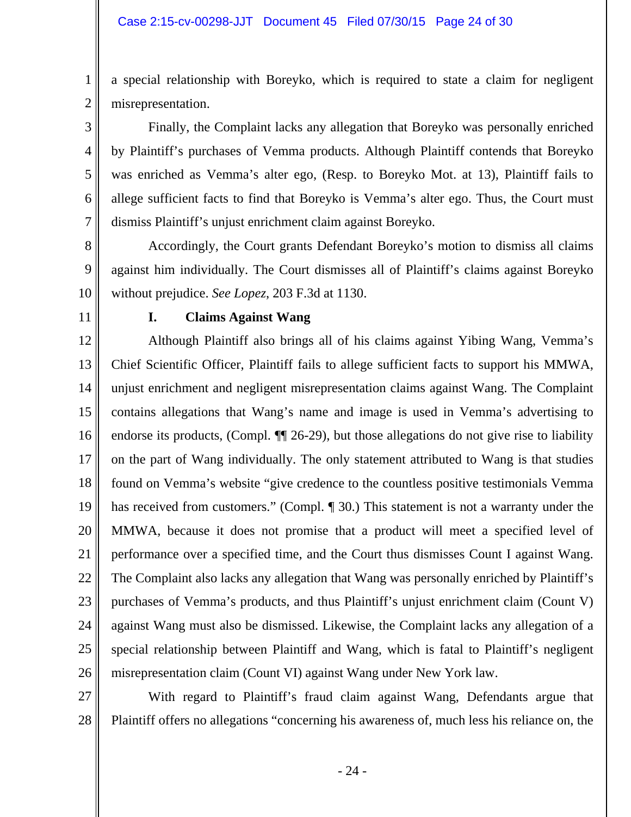a special relationship with Boreyko, which is required to state a claim for negligent misrepresentation.

Finally, the Complaint lacks any allegation that Boreyko was personally enriched by Plaintiff's purchases of Vemma products. Although Plaintiff contends that Boreyko was enriched as Vemma's alter ego, (Resp. to Boreyko Mot. at 13), Plaintiff fails to allege sufficient facts to find that Boreyko is Vemma's alter ego. Thus, the Court must dismiss Plaintiff's unjust enrichment claim against Boreyko.

- 8 9 10 Accordingly, the Court grants Defendant Boreyko's motion to dismiss all claims against him individually. The Court dismisses all of Plaintiff's claims against Boreyko without prejudice. *See Lopez*, 203 F.3d at 1130.
- 11

1

2

3

4

5

6

7

## **I. Claims Against Wang**

12 13 14 15 16 17 18 19 20 21 22 23 24 25 26 Although Plaintiff also brings all of his claims against Yibing Wang, Vemma's Chief Scientific Officer, Plaintiff fails to allege sufficient facts to support his MMWA, unjust enrichment and negligent misrepresentation claims against Wang. The Complaint contains allegations that Wang's name and image is used in Vemma's advertising to endorse its products, (Compl. ¶¶ 26-29), but those allegations do not give rise to liability on the part of Wang individually. The only statement attributed to Wang is that studies found on Vemma's website "give credence to the countless positive testimonials Vemma has received from customers." (Compl. ¶ 30.) This statement is not a warranty under the MMWA, because it does not promise that a product will meet a specified level of performance over a specified time, and the Court thus dismisses Count I against Wang. The Complaint also lacks any allegation that Wang was personally enriched by Plaintiff's purchases of Vemma's products, and thus Plaintiff's unjust enrichment claim (Count V) against Wang must also be dismissed. Likewise, the Complaint lacks any allegation of a special relationship between Plaintiff and Wang, which is fatal to Plaintiff's negligent misrepresentation claim (Count VI) against Wang under New York law.

27 28 With regard to Plaintiff's fraud claim against Wang, Defendants argue that Plaintiff offers no allegations "concerning his awareness of, much less his reliance on, the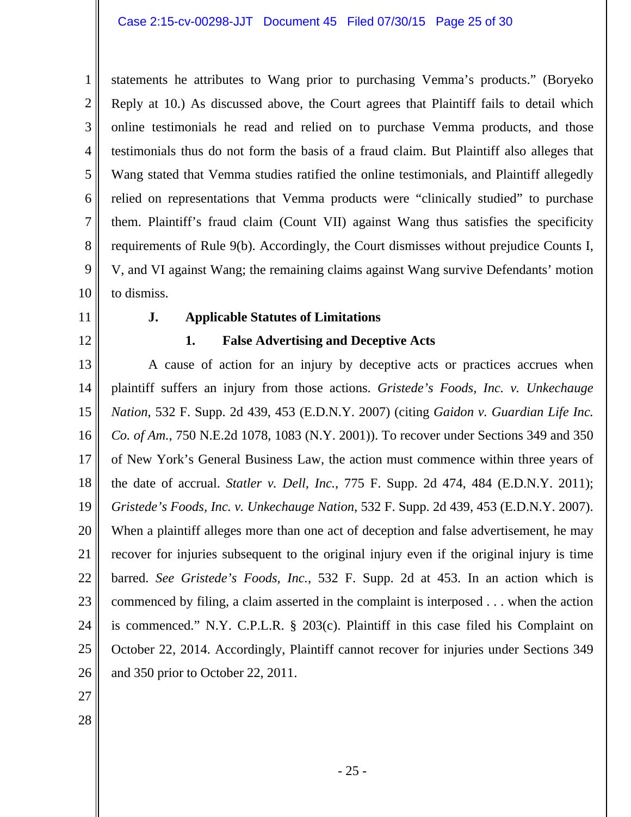1 2 3 4 5 6 7 8 9 10 statements he attributes to Wang prior to purchasing Vemma's products." (Boryeko Reply at 10.) As discussed above, the Court agrees that Plaintiff fails to detail which online testimonials he read and relied on to purchase Vemma products, and those testimonials thus do not form the basis of a fraud claim. But Plaintiff also alleges that Wang stated that Vemma studies ratified the online testimonials, and Plaintiff allegedly relied on representations that Vemma products were "clinically studied" to purchase them. Plaintiff's fraud claim (Count VII) against Wang thus satisfies the specificity requirements of Rule 9(b). Accordingly, the Court dismisses without prejudice Counts I, V, and VI against Wang; the remaining claims against Wang survive Defendants' motion to dismiss.

- 11
- 12

## **J. Applicable Statutes of Limitations**

## **1. False Advertising and Deceptive Acts**

13 14 15 16 17 18 19 20 21 22 23 24 25 26 A cause of action for an injury by deceptive acts or practices accrues when plaintiff suffers an injury from those actions. *Gristede's Foods, Inc. v. Unkechauge Nation*, 532 F. Supp. 2d 439, 453 (E.D.N.Y. 2007) (citing *Gaidon v. Guardian Life Inc. Co. of Am.*, 750 N.E.2d 1078, 1083 (N.Y. 2001)). To recover under Sections 349 and 350 of New York's General Business Law, the action must commence within three years of the date of accrual. *Statler v. Dell, Inc.*, 775 F. Supp. 2d 474, 484 (E.D.N.Y. 2011); *Gristede's Foods, Inc. v. Unkechauge Nation*, 532 F. Supp. 2d 439, 453 (E.D.N.Y. 2007). When a plaintiff alleges more than one act of deception and false advertisement, he may recover for injuries subsequent to the original injury even if the original injury is time barred. *See Gristede's Foods, Inc.*, 532 F. Supp. 2d at 453. In an action which is commenced by filing, a claim asserted in the complaint is interposed . . . when the action is commenced." N.Y. C.P.L.R. § 203(c). Plaintiff in this case filed his Complaint on October 22, 2014. Accordingly, Plaintiff cannot recover for injuries under Sections 349 and 350 prior to October 22, 2011.

- 27
- 28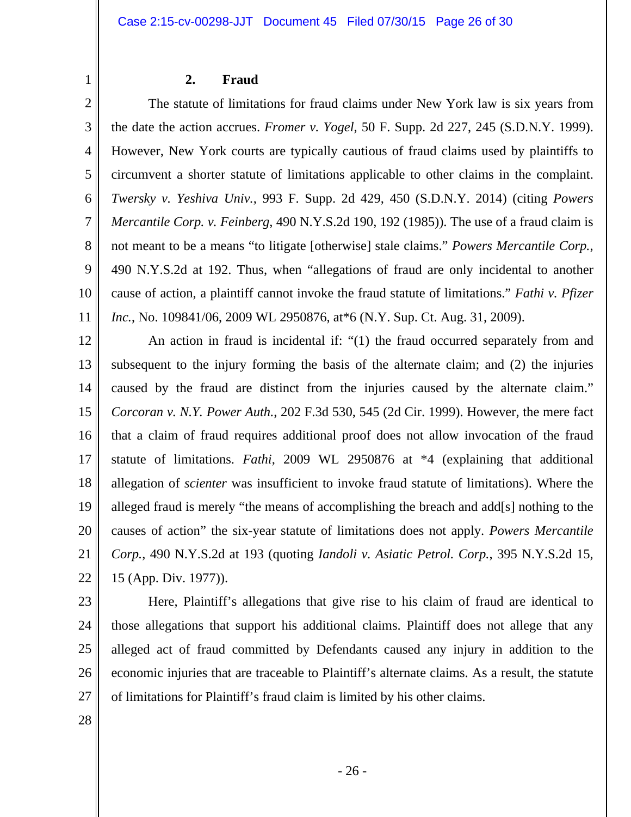### **2. Fraud**

2 3 4 5 6 7 8 9 10 11 The statute of limitations for fraud claims under New York law is six years from the date the action accrues. *Fromer v. Yogel*, 50 F. Supp. 2d 227, 245 (S.D.N.Y. 1999). However, New York courts are typically cautious of fraud claims used by plaintiffs to circumvent a shorter statute of limitations applicable to other claims in the complaint. *Twersky v. Yeshiva Univ.*, 993 F. Supp. 2d 429, 450 (S.D.N.Y. 2014) (citing *Powers Mercantile Corp. v. Feinberg*, 490 N.Y.S.2d 190, 192 (1985)). The use of a fraud claim is not meant to be a means "to litigate [otherwise] stale claims." *Powers Mercantile Corp.*, 490 N.Y.S.2d at 192. Thus, when "allegations of fraud are only incidental to another cause of action, a plaintiff cannot invoke the fraud statute of limitations." *Fathi v. Pfizer Inc.*, No. 109841/06, 2009 WL 2950876, at \*6 (N.Y. Sup. Ct. Aug. 31, 2009).

12 13 14 15 16 17 18 19 20 21 22 An action in fraud is incidental if: "(1) the fraud occurred separately from and subsequent to the injury forming the basis of the alternate claim; and (2) the injuries caused by the fraud are distinct from the injuries caused by the alternate claim." *Corcoran v. N.Y. Power Auth.*, 202 F.3d 530, 545 (2d Cir. 1999). However, the mere fact that a claim of fraud requires additional proof does not allow invocation of the fraud statute of limitations. *Fathi*, 2009 WL 2950876 at \*4 (explaining that additional allegation of *scienter* was insufficient to invoke fraud statute of limitations). Where the alleged fraud is merely "the means of accomplishing the breach and add[s] nothing to the causes of action" the six-year statute of limitations does not apply. *Powers Mercantile Corp.*, 490 N.Y.S.2d at 193 (quoting *Iandoli v. Asiatic Petrol. Corp.*, 395 N.Y.S.2d 15, 15 (App. Div. 1977)).

- Here, Plaintiff's allegations that give rise to his claim of fraud are identical to those allegations that support his additional claims. Plaintiff does not allege that any alleged act of fraud committed by Defendants caused any injury in addition to the economic injuries that are traceable to Plaintiff's alternate claims. As a result, the statute of limitations for Plaintiff's fraud claim is limited by his other claims.
- 28

27

23

24

25

26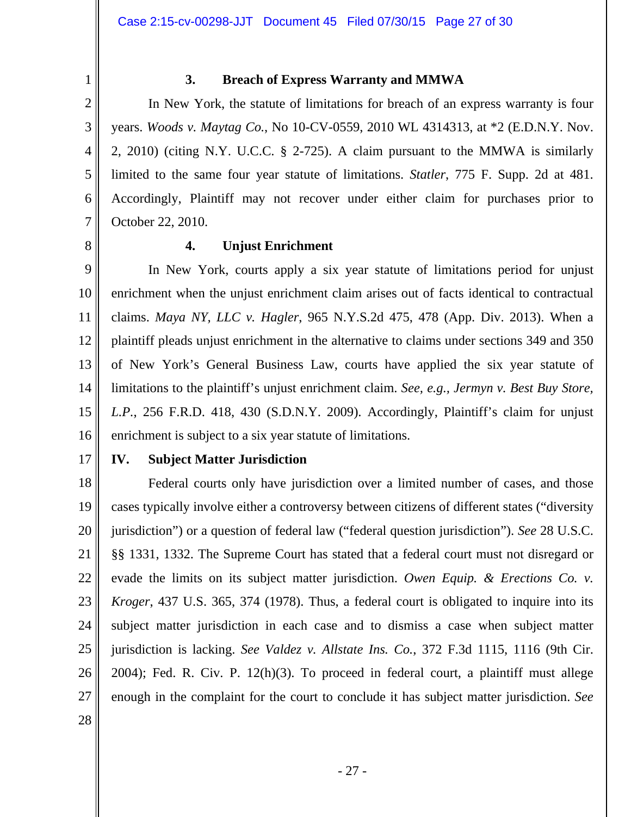2 3

4

5

6

7

1

# **3. Breach of Express Warranty and MMWA**

In New York, the statute of limitations for breach of an express warranty is four years. *Woods v. Maytag Co.*, No 10-CV-0559, 2010 WL 4314313, at \*2 (E.D.N.Y. Nov. 2, 2010) (citing N.Y. U.C.C. § 2-725). A claim pursuant to the MMWA is similarly limited to the same four year statute of limitations. *Statler*, 775 F. Supp. 2d at 481. Accordingly, Plaintiff may not recover under either claim for purchases prior to October 22, 2010.

8

# **4. Unjust Enrichment**

9 10 11 12 13 14 15 16 In New York, courts apply a six year statute of limitations period for unjust enrichment when the unjust enrichment claim arises out of facts identical to contractual claims. *Maya NY, LLC v. Hagler*, 965 N.Y.S.2d 475, 478 (App. Div. 2013). When a plaintiff pleads unjust enrichment in the alternative to claims under sections 349 and 350 of New York's General Business Law, courts have applied the six year statute of limitations to the plaintiff's unjust enrichment claim. *See, e.g., Jermyn v. Best Buy Store, L.P.*, 256 F.R.D. 418, 430 (S.D.N.Y. 2009). Accordingly, Plaintiff's claim for unjust enrichment is subject to a six year statute of limitations.

17

# **IV. Subject Matter Jurisdiction**

18 19 20 21 22 23 24 25 26 27 Federal courts only have jurisdiction over a limited number of cases, and those cases typically involve either a controversy between citizens of different states ("diversity jurisdiction") or a question of federal law ("federal question jurisdiction"). *See* 28 U.S.C. §§ 1331, 1332. The Supreme Court has stated that a federal court must not disregard or evade the limits on its subject matter jurisdiction. *Owen Equip. & Erections Co. v. Kroger*, 437 U.S. 365, 374 (1978). Thus, a federal court is obligated to inquire into its subject matter jurisdiction in each case and to dismiss a case when subject matter jurisdiction is lacking. *See Valdez v. Allstate Ins. Co.*, 372 F.3d 1115, 1116 (9th Cir. 2004); Fed. R. Civ. P. 12(h)(3). To proceed in federal court, a plaintiff must allege enough in the complaint for the court to conclude it has subject matter jurisdiction. *See*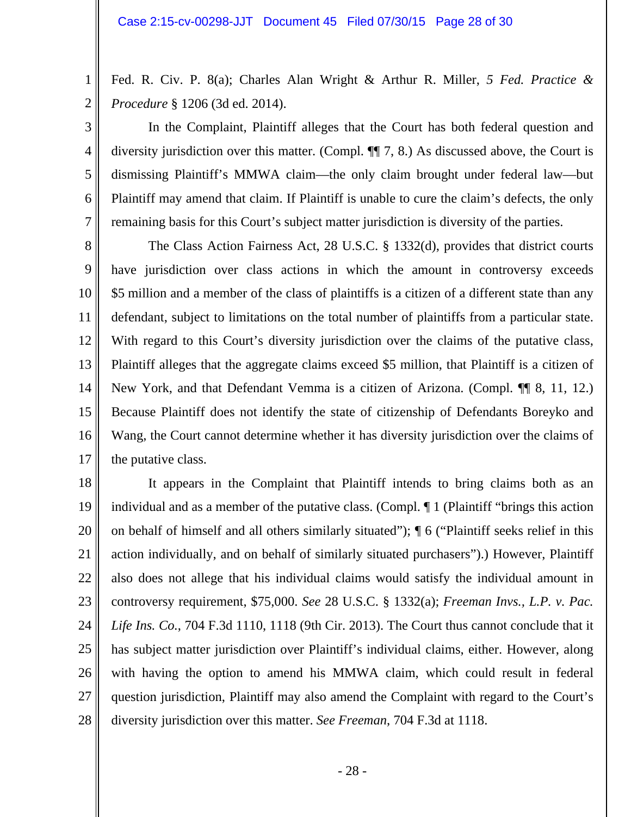1

2

3

4

5

6

7

Fed. R. Civ. P. 8(a); Charles Alan Wright & Arthur R. Miller, *5 Fed. Practice & Procedure* § 1206 (3d ed. 2014).

In the Complaint, Plaintiff alleges that the Court has both federal question and diversity jurisdiction over this matter. (Compl. ¶¶ 7, 8.) As discussed above, the Court is dismissing Plaintiff's MMWA claim—the only claim brought under federal law—but Plaintiff may amend that claim. If Plaintiff is unable to cure the claim's defects, the only remaining basis for this Court's subject matter jurisdiction is diversity of the parties.

8 9 10 11 12 13 14 15 16 17 The Class Action Fairness Act, 28 U.S.C. § 1332(d), provides that district courts have jurisdiction over class actions in which the amount in controversy exceeds \$5 million and a member of the class of plaintiffs is a citizen of a different state than any defendant, subject to limitations on the total number of plaintiffs from a particular state. With regard to this Court's diversity jurisdiction over the claims of the putative class, Plaintiff alleges that the aggregate claims exceed \$5 million, that Plaintiff is a citizen of New York, and that Defendant Vemma is a citizen of Arizona. (Compl. ¶¶ 8, 11, 12.) Because Plaintiff does not identify the state of citizenship of Defendants Boreyko and Wang, the Court cannot determine whether it has diversity jurisdiction over the claims of the putative class.

18 19 20 21 22 23 24 25 26 27 28 It appears in the Complaint that Plaintiff intends to bring claims both as an individual and as a member of the putative class. (Compl. ¶ 1 (Plaintiff "brings this action on behalf of himself and all others similarly situated"); ¶ 6 ("Plaintiff seeks relief in this action individually, and on behalf of similarly situated purchasers").) However, Plaintiff also does not allege that his individual claims would satisfy the individual amount in controversy requirement, \$75,000. *See* 28 U.S.C. § 1332(a); *Freeman Invs., L.P. v. Pac. Life Ins. Co.*, 704 F.3d 1110, 1118 (9th Cir. 2013). The Court thus cannot conclude that it has subject matter jurisdiction over Plaintiff's individual claims, either. However, along with having the option to amend his MMWA claim, which could result in federal question jurisdiction, Plaintiff may also amend the Complaint with regard to the Court's diversity jurisdiction over this matter. *See Freeman*, 704 F.3d at 1118.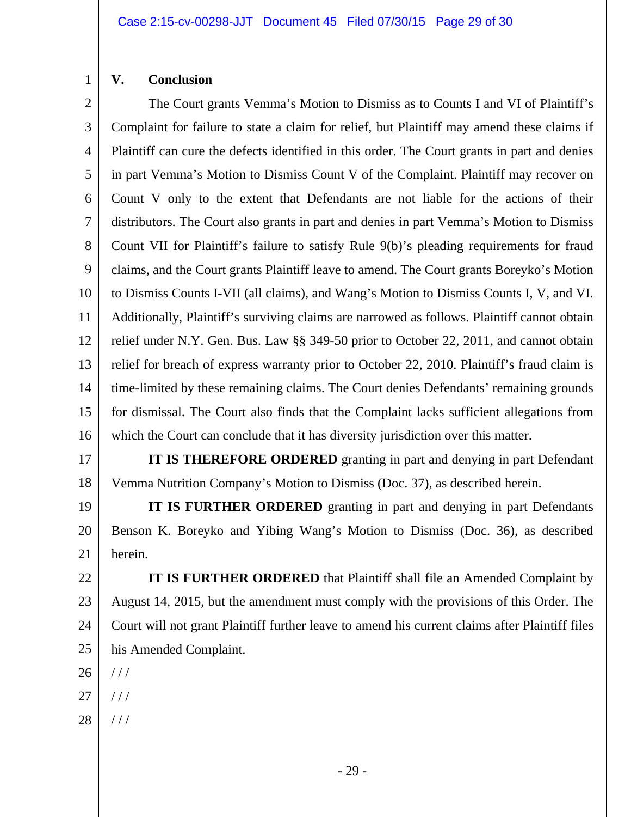# **V. Conclusion**

1

2 3 4 5 6 7 8 9 10 11 12 13 14 15 16 The Court grants Vemma's Motion to Dismiss as to Counts I and VI of Plaintiff's Complaint for failure to state a claim for relief, but Plaintiff may amend these claims if Plaintiff can cure the defects identified in this order. The Court grants in part and denies in part Vemma's Motion to Dismiss Count V of the Complaint. Plaintiff may recover on Count V only to the extent that Defendants are not liable for the actions of their distributors. The Court also grants in part and denies in part Vemma's Motion to Dismiss Count VII for Plaintiff's failure to satisfy Rule 9(b)'s pleading requirements for fraud claims, and the Court grants Plaintiff leave to amend. The Court grants Boreyko's Motion to Dismiss Counts I-VII (all claims), and Wang's Motion to Dismiss Counts I, V, and VI. Additionally, Plaintiff's surviving claims are narrowed as follows. Plaintiff cannot obtain relief under N.Y. Gen. Bus. Law §§ 349-50 prior to October 22, 2011, and cannot obtain relief for breach of express warranty prior to October 22, 2010. Plaintiff's fraud claim is time-limited by these remaining claims. The Court denies Defendants' remaining grounds for dismissal. The Court also finds that the Complaint lacks sufficient allegations from which the Court can conclude that it has diversity jurisdiction over this matter.

17 18  **IT IS THEREFORE ORDERED** granting in part and denying in part Defendant Vemma Nutrition Company's Motion to Dismiss (Doc. 37), as described herein.

19 20 21  **IT IS FURTHER ORDERED** granting in part and denying in part Defendants Benson K. Boreyko and Yibing Wang's Motion to Dismiss (Doc. 36), as described herein.

22 23 24 25 **IT IS FURTHER ORDERED** that Plaintiff shall file an Amended Complaint by August 14, 2015, but the amendment must comply with the provisions of this Order. The Court will not grant Plaintiff further leave to amend his current claims after Plaintiff files his Amended Complaint.

- 26 / / /
- 27  $//$
- 28 / / /